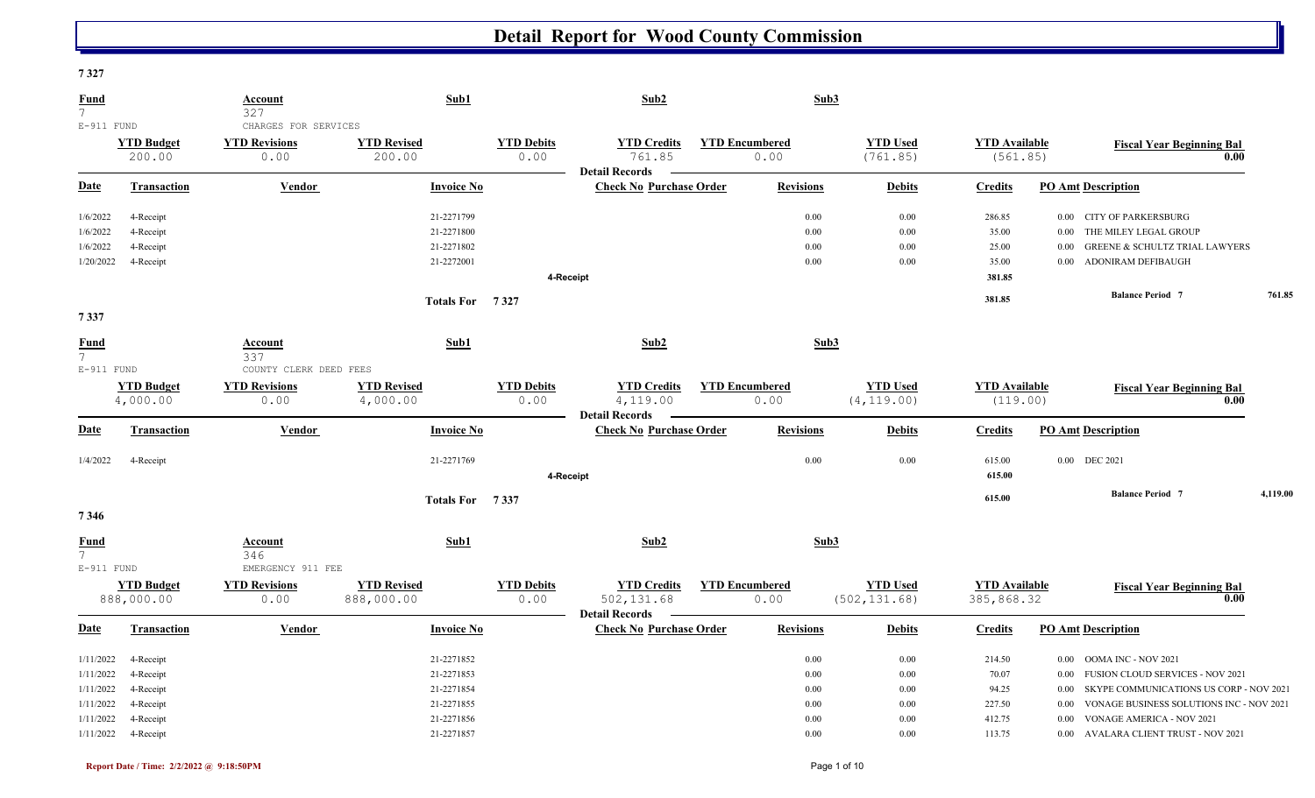### **7 327**

| <b>Fund</b><br>$7^{\circ}$                       |                                                  | Account<br>327                                         | Sub1                                                 |                           | Sub2                                                      |                       | Sub3                         |                                  |                                             |                                                                                                                                                                                            |          |
|--------------------------------------------------|--------------------------------------------------|--------------------------------------------------------|------------------------------------------------------|---------------------------|-----------------------------------------------------------|-----------------------|------------------------------|----------------------------------|---------------------------------------------|--------------------------------------------------------------------------------------------------------------------------------------------------------------------------------------------|----------|
| E-911 FUND                                       | <b>YTD Budget</b><br>200.00                      | CHARGES FOR SERVICES<br><b>YTD Revisions</b><br>0.00   | <b>YTD Revised</b><br>200.00                         | <b>YTD Debits</b><br>0.00 | <b>YTD Credits</b><br>761.85                              | <b>YTD Encumbered</b> | 0.00                         | <b>YTD Used</b><br>(761.85)      | <b>YTD</b> Available<br>(561.85)            | <b>Fiscal Year Beginning Bal</b>                                                                                                                                                           | 0.00     |
| <b>Date</b>                                      | Transaction                                      | Vendor                                                 | <b>Invoice No</b>                                    |                           | <b>Detail Records</b><br><b>Check No Purchase Order</b>   |                       | <b>Revisions</b>             | <b>Debits</b>                    | <b>Credits</b>                              | <b>PO Amt Description</b>                                                                                                                                                                  |          |
| 1/6/2022<br>1/6/2022<br>1/6/2022<br>1/20/2022    | 4-Receipt<br>4-Receipt<br>4-Receipt<br>4-Receipt |                                                        | 21-2271799<br>21-2271800<br>21-2271802<br>21-2272001 | 4-Receipt                 |                                                           |                       | 0.00<br>0.00<br>0.00<br>0.00 | 0.00<br>0.00<br>0.00<br>0.00     | 286.85<br>35.00<br>25.00<br>35.00<br>381.85 | 0.00 CITY OF PARKERSBURG<br>THE MILEY LEGAL GROUP<br>$0.00\,$<br><b>GREENE &amp; SCHULTZ TRIAL LAWYERS</b><br>0.00<br>ADONIRAM DEFIBAUGH<br>$0.00\,$                                       |          |
| 7337                                             |                                                  |                                                        | Totals For 7327                                      |                           |                                                           |                       |                              |                                  | 381.85                                      | <b>Balance Period 7</b>                                                                                                                                                                    | 761.85   |
| <b>Fund</b><br>$7\overline{ }$                   |                                                  | Account<br>337                                         | Sub1                                                 |                           | Sub2                                                      |                       | Sub3                         |                                  |                                             |                                                                                                                                                                                            |          |
| E-911 FUND                                       | <b>YTD Budget</b><br>4,000.00                    | COUNTY CLERK DEED FEES<br><b>YTD Revisions</b><br>0.00 | <b>YTD Revised</b><br>4,000.00                       | <b>YTD Debits</b><br>0.00 | <b>YTD Credits</b><br>4,119.00                            | <b>YTD Encumbered</b> | 0.00                         | <b>YTD Used</b><br>(4, 119.00)   | <b>YTD</b> Available<br>(119.00)            | <b>Fiscal Year Beginning Bal</b>                                                                                                                                                           | 0.00     |
| <b>Date</b>                                      | <b>Transaction</b>                               | Vendor                                                 | <b>Invoice No</b>                                    |                           | <b>Detail Records</b><br><b>Check No Purchase Order</b>   |                       | <b>Revisions</b>             | <b>Debits</b>                    | <b>Credits</b>                              | <b>PO Amt Description</b>                                                                                                                                                                  |          |
| 1/4/2022                                         | 4-Receipt                                        |                                                        | 21-2271769                                           | 4-Receipt                 |                                                           |                       | 0.00                         | 0.00                             | 615.00<br>615.00                            | 0.00 DEC 2021                                                                                                                                                                              |          |
| 7346                                             |                                                  |                                                        | Totals For 7337                                      |                           |                                                           |                       |                              |                                  | 615.00                                      | <b>Balance Period 7</b>                                                                                                                                                                    | 4,119.00 |
| <b>Fund</b><br>$7\overline{ }$<br>E-911 FUND     |                                                  | Account<br>346<br>EMERGENCY 911 FEE                    | Sub1                                                 |                           | Sub2                                                      |                       | Sub3                         |                                  |                                             |                                                                                                                                                                                            |          |
|                                                  | <b>YTD Budget</b><br>888,000.00                  | <b>YTD Revisions</b><br>0.00                           | <b>YTD Revised</b><br>888,000.00                     | <b>YTD Debits</b><br>0.00 | <b>YTD Credits</b><br>502,131.68<br><b>Detail Records</b> | <b>YTD Encumbered</b> | 0.00                         | <b>YTD Used</b><br>(502, 131.68) | <b>YTD Available</b><br>385,868.32          | <b>Fiscal Year Beginning Bal</b>                                                                                                                                                           | 0.00     |
| <b>Date</b>                                      | <b>Transaction</b>                               | Vendor                                                 | <b>Invoice No</b>                                    |                           | <b>Check No Purchase Order</b>                            |                       | <b>Revisions</b>             | <b>Debits</b>                    | <b>Credits</b>                              | <b>PO Amt Description</b>                                                                                                                                                                  |          |
| 1/11/2022<br>1/11/2022<br>1/11/2022<br>1/11/2022 | 4-Receipt<br>4-Receipt<br>4-Receipt<br>4-Receipt |                                                        | 21-2271852<br>21-2271853<br>21-2271854<br>21-2271855 |                           |                                                           |                       | 0.00<br>0.00<br>0.00<br>0.00 | 0.00<br>0.00<br>0.00<br>0.00     | 214.50<br>70.07<br>94.25<br>227.50          | OOMA INC - NOV 2021<br>$0.00\,$<br>FUSION CLOUD SERVICES - NOV 2021<br>$0.00\,$<br>SKYPE COMMUNICATIONS US CORP - NOV 2021<br>$0.00\,$<br>VONAGE BUSINESS SOLUTIONS INC - NOV 2021<br>0.00 |          |
| 1/11/2022                                        | 4-Receipt<br>1/11/2022 4-Receipt                 |                                                        | 21-2271856<br>21-2271857                             |                           |                                                           |                       | 0.00<br>0.00                 | 0.00<br>0.00                     | 412.75<br>113.75                            | VONAGE AMERICA - NOV 2021<br>$0.00\,$<br>0.00 AVALARA CLIENT TRUST - NOV 2021                                                                                                              |          |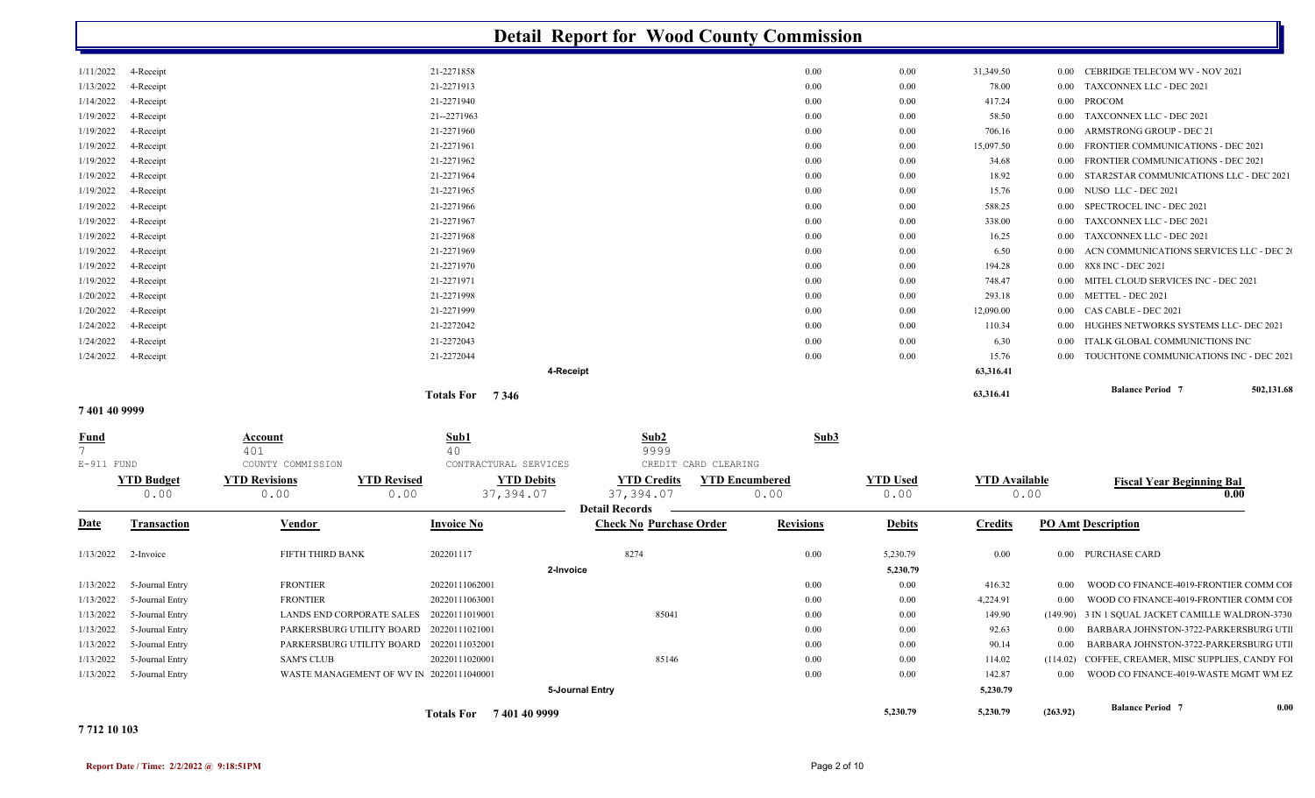| 21-2271858<br>1/11/2022<br>0.00<br>0.00<br>31,349.50<br><b>CEBRIDGE TELECOM WV - NOV 2021</b><br>4-Receipt<br>$0.00\,$<br>21-2271913<br>TAXCONNEX LLC - DEC 2021<br>1/13/2022<br>4-Receipt<br>0.00<br>0.00<br>78.00<br>0.00<br>1/14/2022<br>21-2271940<br><b>PROCOM</b><br>4-Receipt<br>0.00<br>0.00<br>417.24<br>0.00<br>21--2271963<br>1/19/2022<br>4-Receipt<br>0.00<br>0.00<br>58.50<br><b>TAXCONNEX LLC - DEC 2021</b><br>$0.00\,$<br>21-2271960<br>ARMSTRONG GROUP - DEC 21<br>1/19/2022<br>4-Receipt<br>0.00<br>0.00<br>706.16<br>$0.00\,$<br>21-2271961<br>FRONTIER COMMUNICATIONS - DEC 2021<br>1/19/2022<br>4-Receipt<br>0.00<br>0.00<br>15,097.50<br>0.00<br>21-2271962<br>1/19/2022<br>4-Receipt<br>0.00<br>0.00<br>34.68<br>FRONTIER COMMUNICATIONS - DEC 2021<br>$0.00\,$<br>21-2271964<br>1/19/2022<br>4-Receipt<br>0.00<br>0.00<br>18.92<br>STAR2STAR COMMUNICATIONS LLC - DEC 2021<br>0.00<br>4-Receipt<br>21-2271965<br>15.76<br>NUSO LLC - DEC 2021<br>1/19/2022<br>0.00<br>0.00<br>0.00<br>1/19/2022<br>21-2271966<br>SPECTROCEL INC - DEC 2021<br>4-Receipt<br>588.25<br>$0.00\,$<br>0.00<br>$0.00\,$<br>1/19/2022<br>4-Receipt<br>21-2271967<br><b>TAXCONNEX LLC - DEC 2021</b><br>0.00<br>$0.00\,$<br>338.00<br>0.00<br>1/19/2022<br>21-2271968<br>TAXCONNEX LLC - DEC 2021<br>4-Receipt<br>0.00<br>0.00<br>16.25<br>$0.00\,$<br>1/19/2022<br>21-2271969<br>0.00<br>0.00<br>6.50<br>ACN COMMUNICATIONS SERVICES LLC - DEC 20<br>4-Receipt<br>0.00<br>21-2271970<br>0.00 8X8 INC - DEC 2021<br>1/19/2022<br>4-Receipt<br>0.00<br>0.00<br>194.28<br>21-2271971<br>MITEL CLOUD SERVICES INC - DEC 2021<br>1/19/2022<br>4-Receipt<br>0.00<br>0.00<br>748.47<br>$0.00 -$<br>1/20/2022<br>21-2271998<br>4-Receipt<br>0.00<br>0.00<br>293.18<br>0.00 METTEL - DEC 2021<br>1/20/2022<br>21-2271999<br>12,090.00<br>CAS CABLE - DEC 2021<br>4-Receipt<br>0.00<br>0.00<br>$0.00\,$<br>1/24/2022<br>21-2272042<br>HUGHES NETWORKS SYSTEMS LLC- DEC 2021<br>4-Receipt<br>0.00<br>0.00<br>110.34<br>$0.00\,$<br>1/24/2022<br>21-2272043<br>ITALK GLOBAL COMMUNICTIONS INC<br>4-Receipt<br>0.00<br>6.30<br>$0.00\,$<br>0.00<br>1/24/2022<br>4-Receipt<br>15.76<br>21-2272044<br>0.00<br>0.00<br>TOUCHTONE COMMUNICATIONS INC - DEC 2021<br>$0.00 -$<br>63,316.41<br>4-Receipt<br><b>Balance Period</b> 7<br>63,316.41<br>Totals For 7346<br>7401409999<br>Sub2<br>Sub3<br>Sub1<br><u>Fund</u><br><b>Account</b><br>40<br>$\overline{7}$<br>401<br>9999 |              |                   |                       | <b>Detail Report for Wood County Commission</b> |  |  |            |
|-----------------------------------------------------------------------------------------------------------------------------------------------------------------------------------------------------------------------------------------------------------------------------------------------------------------------------------------------------------------------------------------------------------------------------------------------------------------------------------------------------------------------------------------------------------------------------------------------------------------------------------------------------------------------------------------------------------------------------------------------------------------------------------------------------------------------------------------------------------------------------------------------------------------------------------------------------------------------------------------------------------------------------------------------------------------------------------------------------------------------------------------------------------------------------------------------------------------------------------------------------------------------------------------------------------------------------------------------------------------------------------------------------------------------------------------------------------------------------------------------------------------------------------------------------------------------------------------------------------------------------------------------------------------------------------------------------------------------------------------------------------------------------------------------------------------------------------------------------------------------------------------------------------------------------------------------------------------------------------------------------------------------------------------------------------------------------------------------------------------------------------------------------------------------------------------------------------------------------------------------------------------------------------------------------------------------------------------------------------------------------------------------------------------------------------------------------------------|--------------|-------------------|-----------------------|-------------------------------------------------|--|--|------------|
|                                                                                                                                                                                                                                                                                                                                                                                                                                                                                                                                                                                                                                                                                                                                                                                                                                                                                                                                                                                                                                                                                                                                                                                                                                                                                                                                                                                                                                                                                                                                                                                                                                                                                                                                                                                                                                                                                                                                                                                                                                                                                                                                                                                                                                                                                                                                                                                                                                                                 |              |                   |                       |                                                 |  |  |            |
|                                                                                                                                                                                                                                                                                                                                                                                                                                                                                                                                                                                                                                                                                                                                                                                                                                                                                                                                                                                                                                                                                                                                                                                                                                                                                                                                                                                                                                                                                                                                                                                                                                                                                                                                                                                                                                                                                                                                                                                                                                                                                                                                                                                                                                                                                                                                                                                                                                                                 |              |                   |                       |                                                 |  |  |            |
|                                                                                                                                                                                                                                                                                                                                                                                                                                                                                                                                                                                                                                                                                                                                                                                                                                                                                                                                                                                                                                                                                                                                                                                                                                                                                                                                                                                                                                                                                                                                                                                                                                                                                                                                                                                                                                                                                                                                                                                                                                                                                                                                                                                                                                                                                                                                                                                                                                                                 |              |                   |                       |                                                 |  |  |            |
|                                                                                                                                                                                                                                                                                                                                                                                                                                                                                                                                                                                                                                                                                                                                                                                                                                                                                                                                                                                                                                                                                                                                                                                                                                                                                                                                                                                                                                                                                                                                                                                                                                                                                                                                                                                                                                                                                                                                                                                                                                                                                                                                                                                                                                                                                                                                                                                                                                                                 |              |                   |                       |                                                 |  |  |            |
|                                                                                                                                                                                                                                                                                                                                                                                                                                                                                                                                                                                                                                                                                                                                                                                                                                                                                                                                                                                                                                                                                                                                                                                                                                                                                                                                                                                                                                                                                                                                                                                                                                                                                                                                                                                                                                                                                                                                                                                                                                                                                                                                                                                                                                                                                                                                                                                                                                                                 |              |                   |                       |                                                 |  |  |            |
|                                                                                                                                                                                                                                                                                                                                                                                                                                                                                                                                                                                                                                                                                                                                                                                                                                                                                                                                                                                                                                                                                                                                                                                                                                                                                                                                                                                                                                                                                                                                                                                                                                                                                                                                                                                                                                                                                                                                                                                                                                                                                                                                                                                                                                                                                                                                                                                                                                                                 |              |                   |                       |                                                 |  |  |            |
|                                                                                                                                                                                                                                                                                                                                                                                                                                                                                                                                                                                                                                                                                                                                                                                                                                                                                                                                                                                                                                                                                                                                                                                                                                                                                                                                                                                                                                                                                                                                                                                                                                                                                                                                                                                                                                                                                                                                                                                                                                                                                                                                                                                                                                                                                                                                                                                                                                                                 |              |                   |                       |                                                 |  |  |            |
|                                                                                                                                                                                                                                                                                                                                                                                                                                                                                                                                                                                                                                                                                                                                                                                                                                                                                                                                                                                                                                                                                                                                                                                                                                                                                                                                                                                                                                                                                                                                                                                                                                                                                                                                                                                                                                                                                                                                                                                                                                                                                                                                                                                                                                                                                                                                                                                                                                                                 |              |                   |                       |                                                 |  |  |            |
|                                                                                                                                                                                                                                                                                                                                                                                                                                                                                                                                                                                                                                                                                                                                                                                                                                                                                                                                                                                                                                                                                                                                                                                                                                                                                                                                                                                                                                                                                                                                                                                                                                                                                                                                                                                                                                                                                                                                                                                                                                                                                                                                                                                                                                                                                                                                                                                                                                                                 |              |                   |                       |                                                 |  |  |            |
|                                                                                                                                                                                                                                                                                                                                                                                                                                                                                                                                                                                                                                                                                                                                                                                                                                                                                                                                                                                                                                                                                                                                                                                                                                                                                                                                                                                                                                                                                                                                                                                                                                                                                                                                                                                                                                                                                                                                                                                                                                                                                                                                                                                                                                                                                                                                                                                                                                                                 |              |                   |                       |                                                 |  |  |            |
|                                                                                                                                                                                                                                                                                                                                                                                                                                                                                                                                                                                                                                                                                                                                                                                                                                                                                                                                                                                                                                                                                                                                                                                                                                                                                                                                                                                                                                                                                                                                                                                                                                                                                                                                                                                                                                                                                                                                                                                                                                                                                                                                                                                                                                                                                                                                                                                                                                                                 |              |                   |                       |                                                 |  |  |            |
|                                                                                                                                                                                                                                                                                                                                                                                                                                                                                                                                                                                                                                                                                                                                                                                                                                                                                                                                                                                                                                                                                                                                                                                                                                                                                                                                                                                                                                                                                                                                                                                                                                                                                                                                                                                                                                                                                                                                                                                                                                                                                                                                                                                                                                                                                                                                                                                                                                                                 |              |                   |                       |                                                 |  |  |            |
|                                                                                                                                                                                                                                                                                                                                                                                                                                                                                                                                                                                                                                                                                                                                                                                                                                                                                                                                                                                                                                                                                                                                                                                                                                                                                                                                                                                                                                                                                                                                                                                                                                                                                                                                                                                                                                                                                                                                                                                                                                                                                                                                                                                                                                                                                                                                                                                                                                                                 |              |                   |                       |                                                 |  |  |            |
|                                                                                                                                                                                                                                                                                                                                                                                                                                                                                                                                                                                                                                                                                                                                                                                                                                                                                                                                                                                                                                                                                                                                                                                                                                                                                                                                                                                                                                                                                                                                                                                                                                                                                                                                                                                                                                                                                                                                                                                                                                                                                                                                                                                                                                                                                                                                                                                                                                                                 |              |                   |                       |                                                 |  |  |            |
|                                                                                                                                                                                                                                                                                                                                                                                                                                                                                                                                                                                                                                                                                                                                                                                                                                                                                                                                                                                                                                                                                                                                                                                                                                                                                                                                                                                                                                                                                                                                                                                                                                                                                                                                                                                                                                                                                                                                                                                                                                                                                                                                                                                                                                                                                                                                                                                                                                                                 |              |                   |                       |                                                 |  |  |            |
|                                                                                                                                                                                                                                                                                                                                                                                                                                                                                                                                                                                                                                                                                                                                                                                                                                                                                                                                                                                                                                                                                                                                                                                                                                                                                                                                                                                                                                                                                                                                                                                                                                                                                                                                                                                                                                                                                                                                                                                                                                                                                                                                                                                                                                                                                                                                                                                                                                                                 |              |                   |                       |                                                 |  |  |            |
|                                                                                                                                                                                                                                                                                                                                                                                                                                                                                                                                                                                                                                                                                                                                                                                                                                                                                                                                                                                                                                                                                                                                                                                                                                                                                                                                                                                                                                                                                                                                                                                                                                                                                                                                                                                                                                                                                                                                                                                                                                                                                                                                                                                                                                                                                                                                                                                                                                                                 |              |                   |                       |                                                 |  |  |            |
|                                                                                                                                                                                                                                                                                                                                                                                                                                                                                                                                                                                                                                                                                                                                                                                                                                                                                                                                                                                                                                                                                                                                                                                                                                                                                                                                                                                                                                                                                                                                                                                                                                                                                                                                                                                                                                                                                                                                                                                                                                                                                                                                                                                                                                                                                                                                                                                                                                                                 |              |                   |                       |                                                 |  |  |            |
|                                                                                                                                                                                                                                                                                                                                                                                                                                                                                                                                                                                                                                                                                                                                                                                                                                                                                                                                                                                                                                                                                                                                                                                                                                                                                                                                                                                                                                                                                                                                                                                                                                                                                                                                                                                                                                                                                                                                                                                                                                                                                                                                                                                                                                                                                                                                                                                                                                                                 |              |                   |                       |                                                 |  |  |            |
|                                                                                                                                                                                                                                                                                                                                                                                                                                                                                                                                                                                                                                                                                                                                                                                                                                                                                                                                                                                                                                                                                                                                                                                                                                                                                                                                                                                                                                                                                                                                                                                                                                                                                                                                                                                                                                                                                                                                                                                                                                                                                                                                                                                                                                                                                                                                                                                                                                                                 |              |                   |                       |                                                 |  |  |            |
|                                                                                                                                                                                                                                                                                                                                                                                                                                                                                                                                                                                                                                                                                                                                                                                                                                                                                                                                                                                                                                                                                                                                                                                                                                                                                                                                                                                                                                                                                                                                                                                                                                                                                                                                                                                                                                                                                                                                                                                                                                                                                                                                                                                                                                                                                                                                                                                                                                                                 |              |                   |                       |                                                 |  |  |            |
|                                                                                                                                                                                                                                                                                                                                                                                                                                                                                                                                                                                                                                                                                                                                                                                                                                                                                                                                                                                                                                                                                                                                                                                                                                                                                                                                                                                                                                                                                                                                                                                                                                                                                                                                                                                                                                                                                                                                                                                                                                                                                                                                                                                                                                                                                                                                                                                                                                                                 |              |                   |                       |                                                 |  |  | 502,131.68 |
|                                                                                                                                                                                                                                                                                                                                                                                                                                                                                                                                                                                                                                                                                                                                                                                                                                                                                                                                                                                                                                                                                                                                                                                                                                                                                                                                                                                                                                                                                                                                                                                                                                                                                                                                                                                                                                                                                                                                                                                                                                                                                                                                                                                                                                                                                                                                                                                                                                                                 |              |                   |                       |                                                 |  |  |            |
|                                                                                                                                                                                                                                                                                                                                                                                                                                                                                                                                                                                                                                                                                                                                                                                                                                                                                                                                                                                                                                                                                                                                                                                                                                                                                                                                                                                                                                                                                                                                                                                                                                                                                                                                                                                                                                                                                                                                                                                                                                                                                                                                                                                                                                                                                                                                                                                                                                                                 |              |                   |                       |                                                 |  |  |            |
|                                                                                                                                                                                                                                                                                                                                                                                                                                                                                                                                                                                                                                                                                                                                                                                                                                                                                                                                                                                                                                                                                                                                                                                                                                                                                                                                                                                                                                                                                                                                                                                                                                                                                                                                                                                                                                                                                                                                                                                                                                                                                                                                                                                                                                                                                                                                                                                                                                                                 | $E-911$ FUND | COUNTY COMMISSION | CONTRACTURAL SERVICES | CREDIT CARD CLEARING                            |  |  |            |

|             | <b>YTD Budget</b><br>0.00   | <b>YTD Revisions</b><br><b>YTD Revised</b><br>0.00 | <b>YTD Debits</b><br>37,394.07<br>0.00 | <b>YTD Credits</b><br>37,394.07                         | <b>YTD Encumbered</b><br>0.00 | <b>YTD Used</b><br>0.00 | <b>YTD</b> Available<br>0.00 |                           | <b>Fiscal Year Beginning Bal</b><br>$\boldsymbol{0.00}$ |      |
|-------------|-----------------------------|----------------------------------------------------|----------------------------------------|---------------------------------------------------------|-------------------------------|-------------------------|------------------------------|---------------------------|---------------------------------------------------------|------|
| <b>Date</b> | <b>Transaction</b>          | <b>Vendor</b>                                      | <b>Invoice No</b>                      | <b>Detail Records</b><br><b>Check No Purchase Order</b> | <b>Revisions</b>              | <b>Debits</b>           | <b>Credits</b>               | <b>PO Amt Description</b> |                                                         |      |
|             | $1/13/2022$ 2-Invoice       | FIFTH THIRD BANK                                   | 202201117                              | 8274                                                    | $0.00\,$                      | 5,230.79                | 0.00                         |                           | 0.00 PURCHASE CARD                                      |      |
|             |                             |                                                    |                                        | 2-Invoice                                               |                               | 5,230.79                |                              |                           |                                                         |      |
|             | $1/13/2022$ 5-Journal Entry | <b>FRONTIER</b>                                    | 20220111062001                         |                                                         | $0.00\,$                      | 0.00                    | 416.32                       | 0.00                      | WOOD CO FINANCE-4019-FRONTIER COMM COI                  |      |
|             | $1/13/2022$ 5-Journal Entry | <b>FRONTIER</b>                                    | 20220111063001                         |                                                         | $0.00\,$                      | $0.00\,$                | 4,224.91                     |                           | 0.00 WOOD CO FINANCE-4019-FRONTIER COMM COI             |      |
|             | $1/13/2022$ 5-Journal Entry | LANDS END CORPORATE SALES                          | 20220111019001                         | 85041                                                   | $0.00\,$                      | 0.00                    | 149.90                       |                           | (149.90) 3 IN 1 SQUAL JACKET CAMILLE WALDRON-3730       |      |
| 1/13/2022   | 5-Journal Entry             | PARKERSBURG UTILITY BOARD 20220111021001           |                                        |                                                         | $0.00\,$                      | 0.00                    | 92.63                        |                           | 0.00 BARBARA JOHNSTON-3722-PARKERSBURG UTI              |      |
|             | $1/13/2022$ 5-Journal Entry | PARKERSBURG UTILITY BOARD 20220111032001           |                                        |                                                         | $0.00\,$                      | $0.00\,$                | 90.14                        |                           | 0.00 BARBARA JOHNSTON-3722-PARKERSBURG UTI              |      |
| 1/13/2022   | 5-Journal Entry             | <b>SAM'S CLUB</b>                                  | 20220111020001                         | 85146                                                   | $0.00\,$                      | 0.00                    | 114.02                       |                           | (114.02) COFFEE, CREAMER, MISC SUPPLIES, CANDY FOI      |      |
|             | $1/13/2022$ 5-Journal Entry | WASTE MANAGEMENT OF WV IN 20220111040001           |                                        |                                                         | $0.00\,$                      | 0.00                    | 142.87                       |                           | 0.00 WOOD CO FINANCE-4019-WASTE MGMT WM EZ              |      |
|             |                             |                                                    |                                        | 5-Journal Entry                                         |                               |                         | 5,230.79                     |                           |                                                         |      |
|             |                             |                                                    | 7401409999<br><b>Totals For</b>        |                                                         |                               | 5,230.79                | 5,230.79                     | (263.92)                  | <b>Balance Period 7</b>                                 | 0.00 |

#### **7 712 10 103**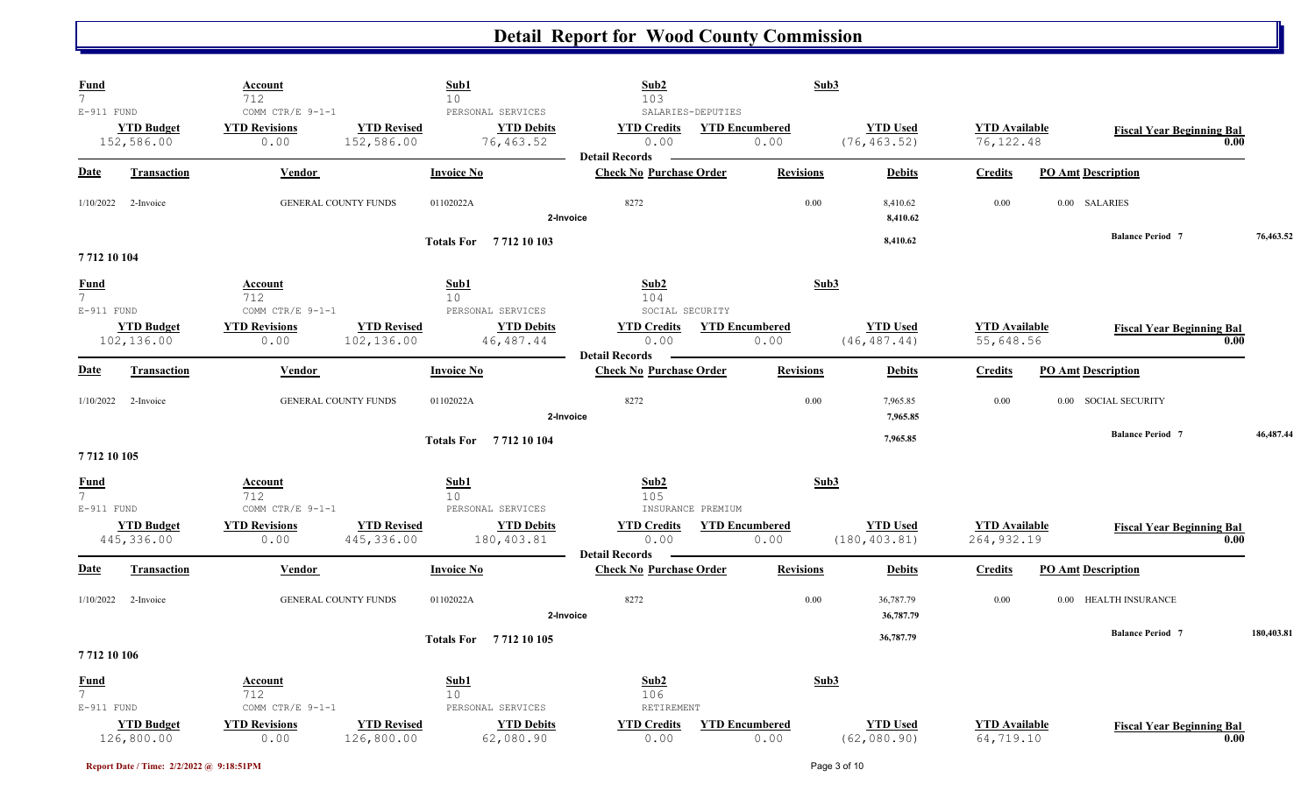| <b>Fund</b><br>$\overline{7}$                   | <b>Account</b><br>712                            | Sub1<br>10                                                                              | Sub2<br>103                                             | Sub3                          |                                  |                                     |                                  |            |
|-------------------------------------------------|--------------------------------------------------|-----------------------------------------------------------------------------------------|---------------------------------------------------------|-------------------------------|----------------------------------|-------------------------------------|----------------------------------|------------|
| $E-911$ FUND<br><b>YTD Budget</b><br>152,586.00 | COMM CTR/E 9-1-1<br><b>YTD Revisions</b><br>0.00 | PERSONAL SERVICES<br><b>YTD Revised</b><br><b>YTD Debits</b><br>152,586.00<br>76,463.52 | SALARIES-DEPUTIES<br><b>YTD Credits</b><br>0.00         | <b>YTD Encumbered</b><br>0.00 | <b>YTD Used</b><br>(76, 463.52)  | <b>YTD</b> Available<br>76, 122.48  | <b>Fiscal Year Beginning Bal</b> | 0.00       |
| <b>Date</b><br><b>Transaction</b>               | Vendor                                           | <b>Invoice No</b>                                                                       | <b>Detail Records</b><br><b>Check No Purchase Order</b> | <b>Revisions</b>              | <b>Debits</b>                    | <b>Credits</b>                      | <b>PO Amt Description</b>        |            |
| $1/10/2022$ 2-Invoice                           | <b>GENERAL COUNTY FUNDS</b>                      | 01102022A                                                                               | 8272<br>2-Invoice                                       | 0.00                          | 8,410.62<br>8,410.62             | 0.00                                | 0.00 SALARIES                    |            |
| 7712 10 104                                     |                                                  | <b>Totals For</b> 7712 10 103                                                           |                                                         |                               | 8,410.62                         |                                     | <b>Balance Period 7</b>          | 76,463.52  |
| <b>Fund</b><br>$7\overline{ }$<br>$E-911$ FUND  | Account<br>712<br>COMM CTR/E 9-1-1               | Sub1<br>10<br>PERSONAL SERVICES                                                         | Sub2<br>104<br>SOCIAL SECURITY                          | Sub3                          |                                  |                                     |                                  |            |
| <b>YTD Budget</b><br>102,136.00                 | <b>YTD Revisions</b><br>0.00                     | <b>YTD Revised</b><br><b>YTD Debits</b><br>102,136.00<br>46, 487. 44                    | <b>YTD Credits</b><br>0.00                              | <b>YTD Encumbered</b><br>0.00 | <b>YTD Used</b><br>(46, 487.44)  | <b>YTD</b> Available<br>55,648.56   | <b>Fiscal Year Beginning Bal</b> | 0.00       |
| <b>Date</b><br><b>Transaction</b>               | Vendor                                           | <b>Invoice No</b>                                                                       | <b>Detail Records</b><br><b>Check No Purchase Order</b> | <b>Revisions</b>              | <b>Debits</b>                    | <b>Credits</b>                      | <b>PO Amt Description</b>        |            |
| 1/10/2022<br>2-Invoice                          | <b>GENERAL COUNTY FUNDS</b>                      | 01102022A                                                                               | 8272<br>2-Invoice                                       | 0.00                          | 7,965.85<br>7,965.85             | 0.00                                | 0.00 SOCIAL SECURITY             |            |
| 7712 10 105                                     |                                                  | Totals For 7712 10 104                                                                  |                                                         |                               | 7,965.85                         |                                     | <b>Balance Period 7</b>          | 46,487.44  |
| <b>Fund</b><br>$7\overline{ }$<br>E-911 FUND    | Account<br>712<br>COMM CTR/E 9-1-1               | Sub1<br>10 <sup>°</sup><br>PERSONAL SERVICES                                            | Sub2<br>105<br>INSURANCE PREMIUM                        | Sub3                          |                                  |                                     |                                  |            |
| <b>YTD Budget</b><br>445,336.00                 | <b>YTD Revisions</b><br>0.00                     | <b>YTD Revised</b><br><b>YTD Debits</b><br>445,336.00<br>180,403.81                     | <b>YTD Credits</b><br>0.00<br><b>Detail Records</b>     | <b>YTD Encumbered</b><br>0.00 | <b>YTD Used</b><br>(180, 403.81) | <b>YTD</b> Available<br>264, 932.19 | <b>Fiscal Year Beginning Bal</b> | 0.00       |
| <b>Date</b><br><b>Transaction</b>               | Vendor                                           | <b>Invoice No</b>                                                                       | <b>Check No Purchase Order</b>                          | <b>Revisions</b>              | <b>Debits</b>                    | <b>Credits</b>                      | <b>PO Amt Description</b>        |            |
| 1/10/2022<br>2-Invoice                          | <b>GENERAL COUNTY FUNDS</b>                      | 01102022A                                                                               | 8272<br>2-Invoice                                       | 0.00                          | 36,787.79<br>36,787.79           | 0.00                                | 0.00 HEALTH INSURANCE            |            |
| 7712 10 106                                     |                                                  | Totals For 7712 10 105                                                                  |                                                         |                               | 36,787.79                        |                                     | <b>Balance Period 7</b>          | 180,403.81 |
| <b>Fund</b><br>$\overline{7}$<br>E-911 FUND     | Account<br>712<br>COMM CTR/E 9-1-1               | Sub1<br>10 <sup>°</sup><br>PERSONAL SERVICES                                            | Sub2<br>106<br>RETIREMENT                               | Sub3                          |                                  |                                     |                                  |            |
| <b>YTD Budget</b><br>126,800.00                 | <b>YTD Revisions</b><br>0.00                     | <b>YTD Revised</b><br><b>YTD Debits</b><br>126,800.00<br>62,080.90                      | <b>YTD Credits</b><br>0.00                              | <b>YTD Encumbered</b><br>0.00 | <b>YTD Used</b><br>(62, 080.90)  | <b>YTD Available</b><br>64,719.10   | <b>Fiscal Year Beginning Bal</b> | 0.00       |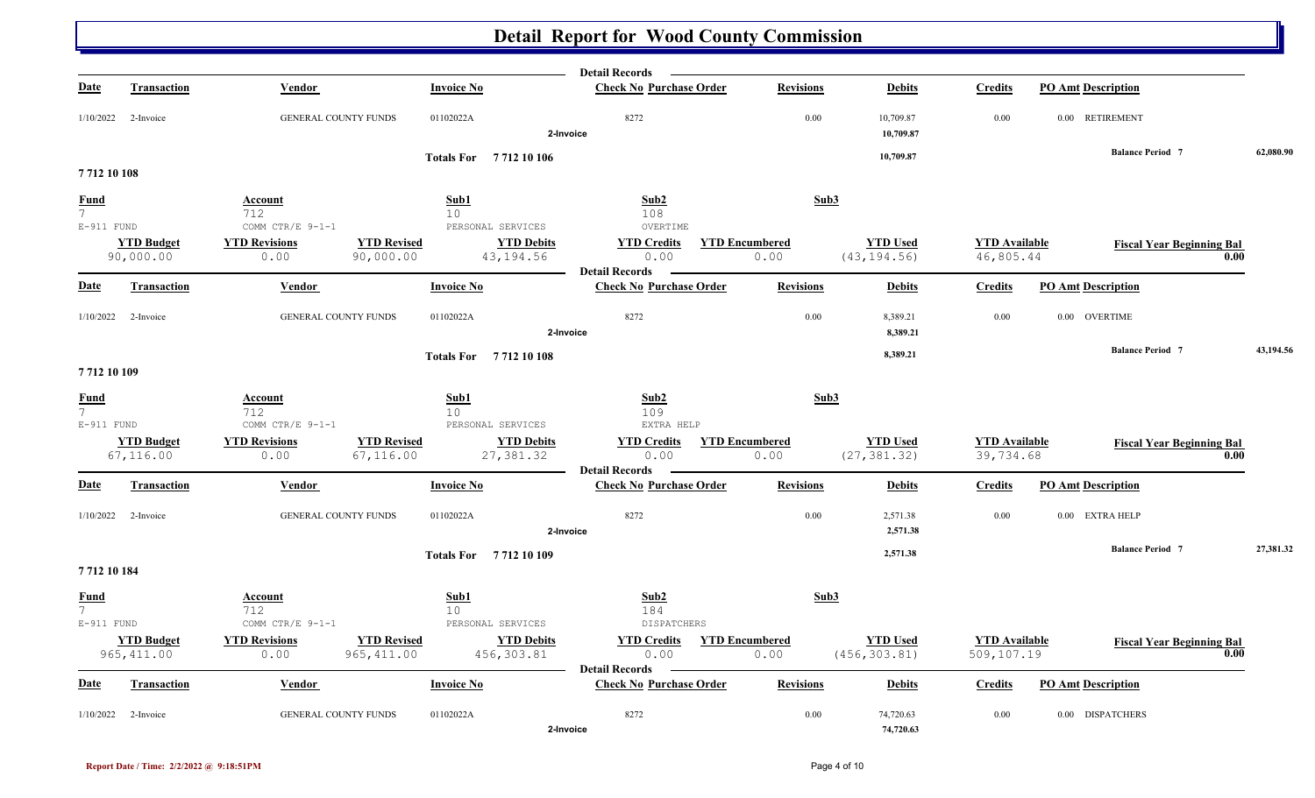|                                 |                       |                             |                                         | <b>Detail Records</b>                                   |                       |                        |                      |                                  |           |
|---------------------------------|-----------------------|-----------------------------|-----------------------------------------|---------------------------------------------------------|-----------------------|------------------------|----------------------|----------------------------------|-----------|
| <b>Date</b>                     | <b>Transaction</b>    | Vendor                      | <b>Invoice No</b>                       | <b>Check No Purchase Order</b>                          | <b>Revisions</b>      | <b>Debits</b>          | <b>Credits</b>       | <b>PO Amt Description</b>        |           |
| 1/10/2022                       | 2-Invoice             | <b>GENERAL COUNTY FUNDS</b> | 01102022A                               | 8272<br>2-Invoice                                       | 0.00                  | 10,709.87<br>10,709.87 | 0.00                 | 0.00 RETIREMENT                  |           |
|                                 |                       |                             | <b>Totals For</b> 7712 10 106           |                                                         |                       | 10,709.87              |                      | <b>Balance Period 7</b>          | 62,080.90 |
| 771210108                       |                       |                             |                                         |                                                         |                       |                        |                      |                                  |           |
| <b>Fund</b>                     |                       | Account                     | Sub1                                    | Sub2                                                    | Sub3                  |                        |                      |                                  |           |
| 7 <sup>7</sup><br>$E-911$ FUND  |                       | 712<br>COMM CTR/E 9-1-1     | 10<br>PERSONAL SERVICES                 | 108<br>OVERTIME                                         |                       |                        |                      |                                  |           |
|                                 | <b>YTD Budget</b>     | <b>YTD Revisions</b>        | <b>YTD Revised</b><br><b>YTD Debits</b> | <b>YTD Credits</b>                                      | <b>YTD Encumbered</b> | <b>YTD Used</b>        | <b>YTD</b> Available | <b>Fiscal Year Beginning Bal</b> |           |
|                                 | 90,000.00             | 0.00                        | 90,000.00<br>43,194.56                  | 0.00                                                    | 0.00                  | (43, 194.56)           | 46,805.44            |                                  | 0.00      |
| <b>Date</b>                     | <b>Transaction</b>    | Vendor                      | <b>Invoice No</b>                       | Detail Records –<br><b>Check No Purchase Order</b>      | <b>Revisions</b>      | <b>Debits</b>          | <b>Credits</b>       | <b>PO Amt Description</b>        |           |
|                                 | $1/10/2022$ 2-Invoice | <b>GENERAL COUNTY FUNDS</b> | 01102022A                               | 8272                                                    | 0.00                  | 8,389.21               | 0.00                 | 0.00 OVERTIME                    |           |
|                                 |                       |                             |                                         | 2-Invoice                                               |                       | 8,389.21               |                      |                                  |           |
|                                 |                       |                             | Totals For 7712 10 108                  |                                                         |                       | 8,389.21               |                      | <b>Balance Period 7</b>          | 43,194.56 |
| 7712 10 109                     |                       |                             |                                         |                                                         |                       |                        |                      |                                  |           |
| <b>Fund</b>                     |                       | Account                     | Sub1                                    | Sub2                                                    | Sub3                  |                        |                      |                                  |           |
| 7<br>$E-911$ FUND               |                       | 712<br>COMM CTR/E 9-1-1     | 10 <sup>°</sup><br>PERSONAL SERVICES    | 109<br>EXTRA HELP                                       |                       |                        |                      |                                  |           |
|                                 | <b>YTD Budget</b>     | <b>YTD Revisions</b>        | <b>YTD Revised</b><br><b>YTD Debits</b> | <b>YTD Credits</b>                                      | <b>YTD Encumbered</b> | <b>YTD Used</b>        | <b>YTD</b> Available | <b>Fiscal Year Beginning Bal</b> |           |
|                                 | 67, 116.00            | 0.00                        | 67, 116.00<br>27,381.32                 | 0.00                                                    | 0.00                  | (27, 381.32)           | 39,734.68            |                                  | 0.00      |
| <b>Date</b>                     | Transaction           | Vendor                      | <b>Invoice No</b>                       | <b>Detail Records</b><br><b>Check No Purchase Order</b> | <b>Revisions</b>      | <b>Debits</b>          | <b>Credits</b>       | <b>PO Amt Description</b>        |           |
| 1/10/2022                       | 2-Invoice             | GENERAL COUNTY FUNDS        | 01102022A                               | 8272<br>2-Invoice                                       | 0.00                  | 2,571.38<br>2,571.38   | 0.00                 | 0.00 EXTRA HELP                  |           |
|                                 |                       |                             |                                         |                                                         |                       | 2,571.38               |                      | <b>Balance Period 7</b>          | 27,381.32 |
| 7712 10 184                     |                       |                             | Totals For 7712 10 109                  |                                                         |                       |                        |                      |                                  |           |
| <b>Fund</b>                     |                       | <u>Account</u>              | Sub1                                    | Sub2                                                    | Sub3                  |                        |                      |                                  |           |
| $7\overline{ }$<br>$E-911$ FUND |                       | 712<br>COMM CTR/E 9-1-1     | 10<br>PERSONAL SERVICES                 | 184<br>DISPATCHERS                                      |                       |                        |                      |                                  |           |
|                                 | <b>YTD Budget</b>     | <b>YTD Revisions</b>        | <b>YTD Revised</b><br><b>YTD Debits</b> | <b>YTD Credits</b>                                      | <b>YTD Encumbered</b> | <b>YTD Used</b>        | <b>YTD Available</b> | <b>Fiscal Year Beginning Bal</b> |           |
|                                 | 965, 411.00           | 0.00                        | 965, 411.00<br>456,303.81               | 0.00                                                    | 0.00                  | (456, 303.81)          | 509,107.19           |                                  | 0.00      |
| <b>Date</b>                     | Transaction           | Vendor                      | <b>Invoice No</b>                       | <b>Detail Records</b><br><b>Check No Purchase Order</b> | <b>Revisions</b>      | <b>Debits</b>          | <b>Credits</b>       | <b>PO Amt Description</b>        |           |
| 1/10/2022                       | 2-Invoice             | <b>GENERAL COUNTY FUNDS</b> | 01102022A                               | 8272                                                    | 0.00                  | 74,720.63              | 0.00                 | 0.00 DISPATCHERS                 |           |
|                                 |                       |                             |                                         | 2-Invoice                                               |                       | 74,720.63              |                      |                                  |           |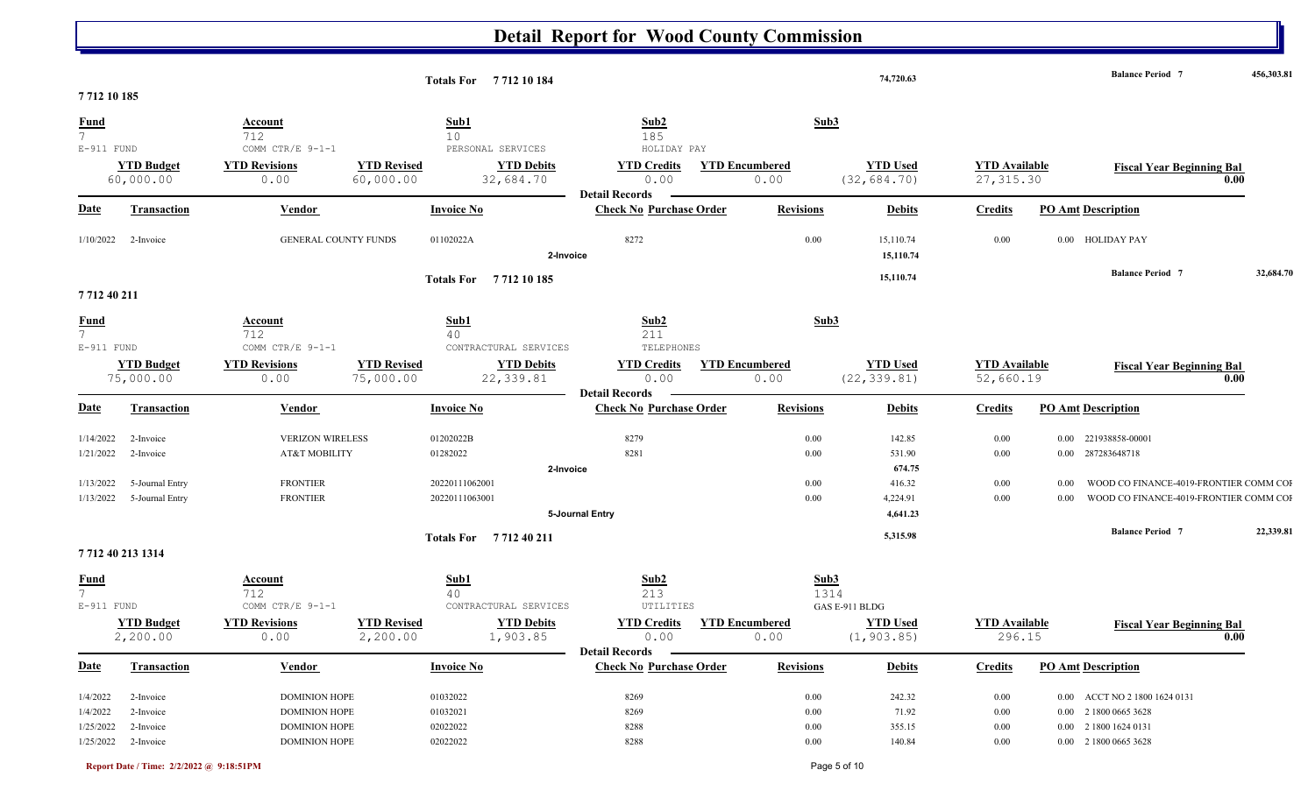|                                               |                                |                                           |                                 | Totals For 7712 10 184                       |                                                         |                       |                  | 74,720.63                       |                                    |      | <b>Balance Period 7</b>                  | 456,303.81 |
|-----------------------------------------------|--------------------------------|-------------------------------------------|---------------------------------|----------------------------------------------|---------------------------------------------------------|-----------------------|------------------|---------------------------------|------------------------------------|------|------------------------------------------|------------|
| 7712 10 185                                   |                                |                                           |                                 |                                              |                                                         |                       |                  |                                 |                                    |      |                                          |            |
| <b>Fund</b><br>7 <sup>1</sup><br>$E-911$ FUND |                                | <b>Account</b><br>712<br>COMM CTR/E 9-1-1 |                                 | Sub1<br>10 <sup>°</sup><br>PERSONAL SERVICES | Sub2<br>185<br>HOLIDAY PAY                              |                       | Sub3             |                                 |                                    |      |                                          |            |
|                                               | <b>YTD Budget</b><br>60,000.00 | <b>YTD Revisions</b><br>0.00              | <b>YTD Revised</b><br>60,000.00 | <b>YTD Debits</b><br>32,684.70               | <b>YTD Credits</b><br>0.00<br><b>Detail Records</b>     | <b>YTD Encumbered</b> | 0.00             | <b>YTD Used</b><br>(32, 684.70) | <b>YTD</b> Available<br>27, 315.30 |      | <b>Fiscal Year Beginning Bal</b><br>0.00 |            |
| <b>Date</b>                                   | <b>Transaction</b>             | Vendor                                    |                                 | <b>Invoice No</b>                            | <b>Check No Purchase Order</b>                          |                       | <b>Revisions</b> | <b>Debits</b>                   | <b>Credits</b>                     |      | <b>PO Amt Description</b>                |            |
| 1/10/2022                                     | 2-Invoice                      | <b>GENERAL COUNTY FUNDS</b>               |                                 | 01102022A<br>2-Invoice                       | 8272                                                    |                       | 0.00             | 15,110.74<br>15,110.74          | 0.00                               |      | $0.00$ $\;$ HOLIDAY PAY                  |            |
| 7712 40 211                                   |                                |                                           |                                 | Totals For 7712 10 185                       |                                                         |                       |                  | 15,110.74                       |                                    |      | <b>Balance Period 7</b>                  | 32,684.70  |
| $\frac{Fund}{7}$<br>$E-911$ FUND              |                                | <b>Account</b><br>712<br>COMM CTR/E 9-1-1 |                                 | Sub1<br>40<br>CONTRACTURAL SERVICES          | Sub2<br>211<br>TELEPHONES                               |                       | Sub3             |                                 |                                    |      |                                          |            |
|                                               | <b>YTD Budget</b><br>75,000.00 | <b>YTD Revisions</b><br>0.00              | <b>YTD Revised</b><br>75,000.00 | <b>YTD Debits</b><br>22,339.81               | <b>YTD Credits</b><br>0.00                              | <b>YTD Encumbered</b> | 0.00             | <b>YTD Used</b><br>(22, 339.81) | <b>YTD</b> Available<br>52,660.19  |      | <b>Fiscal Year Beginning Bal</b><br>0.00 |            |
| <b>Date</b>                                   | <b>Transaction</b>             | <b>Vendor</b>                             |                                 | <b>Invoice No</b>                            | <b>Detail Records</b><br><b>Check No Purchase Order</b> |                       | <b>Revisions</b> | <b>Debits</b>                   | <b>Credits</b>                     |      | <b>PO Amt Description</b>                |            |
| 1/14/2022                                     | 2-Invoice                      | <b>VERIZON WIRELESS</b>                   |                                 | 01202022B                                    | 8279                                                    |                       | 0.00             | 142.85                          | 0.00                               |      | 0.00 221938858-00001                     |            |
| 1/21/2022                                     | 2-Invoice                      | AT&T MOBILITY                             |                                 | 01282022                                     | 8281                                                    |                       | 0.00             | 531.90                          | 0.00                               |      | 0.00 287283648718                        |            |
|                                               |                                |                                           |                                 | 2-Invoice                                    |                                                         |                       |                  | 674.75                          |                                    |      |                                          |            |
| 1/13/2022                                     | 5-Journal Entry                | <b>FRONTIER</b>                           |                                 | 20220111062001                               |                                                         |                       | 0.00             | 416.32                          | 0.00                               | 0.00 | WOOD CO FINANCE-4019-FRONTIER COMM COI   |            |
|                                               | 1/13/2022 5-Journal Entry      | <b>FRONTIER</b>                           |                                 | 20220111063001                               |                                                         |                       | 0.00             | 4,224.91                        | 0.00                               | 0.00 | WOOD CO FINANCE-4019-FRONTIER COMM COI   |            |
|                                               |                                |                                           |                                 | Totals For 771240211                         | 5-Journal Entry                                         |                       |                  | 4,641.23<br>5,315.98            |                                    |      | <b>Balance Period 7</b>                  | 22,339.81  |
| 7712 40 213 1314                              |                                |                                           |                                 |                                              |                                                         |                       |                  |                                 |                                    |      |                                          |            |
| $\frac{Fund}{7}$<br>$E-911$ FUND              |                                | <b>Account</b><br>712<br>COMM CTR/E 9-1-1 |                                 | Sub1<br>40<br>CONTRACTURAL SERVICES          | Sub2<br>213<br>UTILITIES                                |                       | Sub3<br>1314     | GAS E-911 BLDG                  |                                    |      |                                          |            |
|                                               | <b>YTD Budget</b><br>2,200.00  | <b>YTD Revisions</b><br>0.00              | <b>YTD Revised</b><br>2,200.00  | <b>YTD Debits</b><br>1,903.85                | <b>YTD Credits</b><br>0.00                              | <b>YTD Encumbered</b> | 0.00             | <b>YTD Used</b><br>(1, 903.85)  | <b>YTD</b> Available<br>296.15     |      | <b>Fiscal Year Beginning Bal</b><br>0.00 |            |
| <b>Date</b>                                   | Transaction                    | <b>Vendor</b>                             |                                 | <b>Invoice No</b>                            | <b>Detail Records</b><br><b>Check No Purchase Order</b> |                       | <b>Revisions</b> | <b>Debits</b>                   | <b>Credits</b>                     |      | <b>PO Amt Description</b>                |            |
| 1/4/2022                                      | 2-Invoice                      | <b>DOMINION HOPE</b>                      |                                 | 01032022                                     | 8269                                                    |                       | $0.00\,$         | 242.32                          | 0.00                               |      | 0.00 ACCT NO 2 1800 1624 0131            |            |
| 1/4/2022                                      | 2-Invoice                      | <b>DOMINION HOPE</b>                      |                                 | 01032021                                     | 8269                                                    |                       | 0.00             | 71.92                           | 0.00                               |      | 0.00 2 1800 0665 3628                    |            |
| 1/25/2022                                     | 2-Invoice                      | <b>DOMINION HOPE</b>                      |                                 | 02022022                                     | 8288                                                    |                       | 0.00             | 355.15                          | 0.00                               |      | 0.00 2 1800 1624 0131                    |            |
|                                               | $1/25/2022$ 2-Invoice          | <b>DOMINION HOPE</b>                      |                                 | 02022022                                     | 8288                                                    |                       | 0.00             | 140.84                          | 0.00                               |      | 0.00 2 1800 0665 3628                    |            |
|                                               |                                |                                           |                                 |                                              |                                                         |                       |                  |                                 |                                    |      |                                          |            |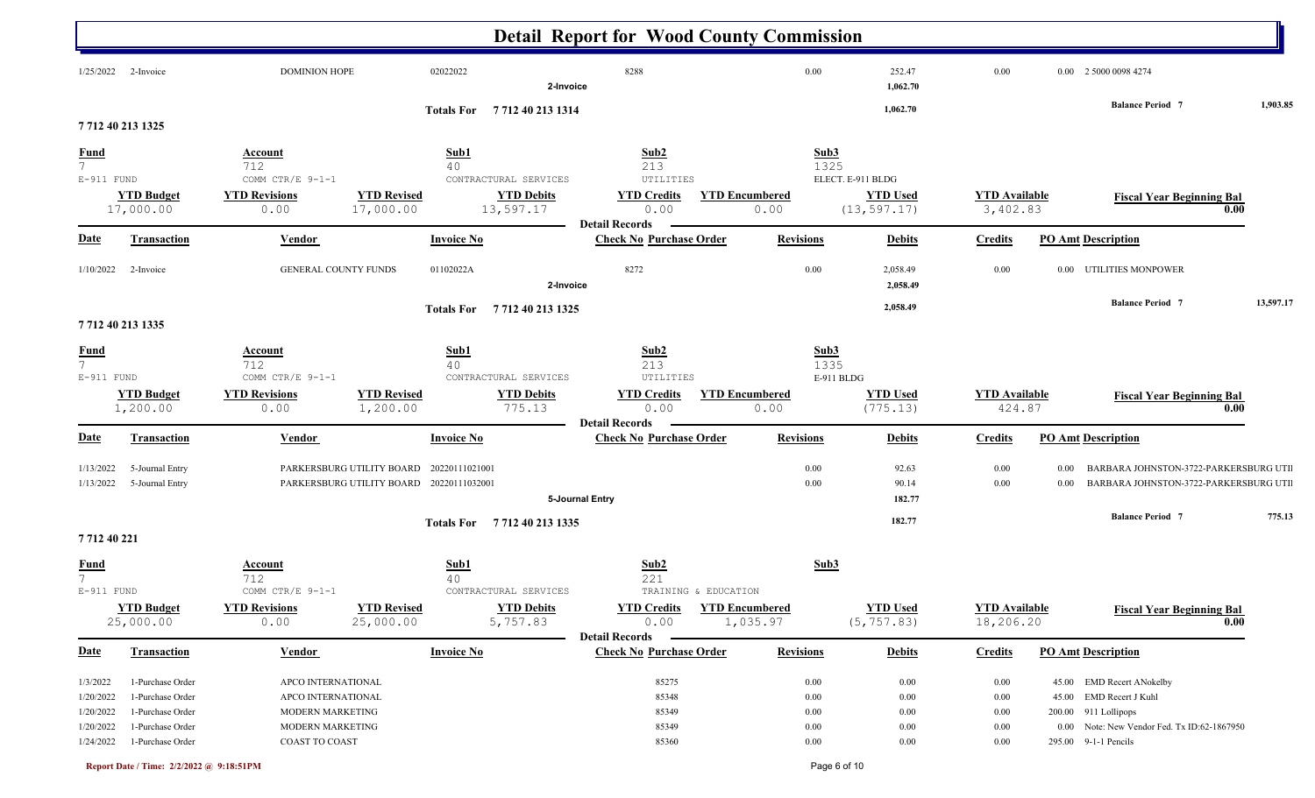|                                |                                |                                          |                                          |                                            | <b>Detail Report for Wood County Commission</b>         |                               |                                 |                                  |       |                                             |           |
|--------------------------------|--------------------------------|------------------------------------------|------------------------------------------|--------------------------------------------|---------------------------------------------------------|-------------------------------|---------------------------------|----------------------------------|-------|---------------------------------------------|-----------|
| 1/25/2022                      | 2-Invoice                      | <b>DOMINION HOPE</b>                     |                                          | 02022022<br>2-Invoice                      | 8288                                                    | 0.00                          | 252.47<br>1,062.70              | 0.00                             |       | 0.00 2 5000 0098 4274                       |           |
| 7712 40 213 1325               |                                |                                          |                                          | Totals For 7712 40 213 1314                |                                                         |                               | 1,062.70                        |                                  |       | <b>Balance Period 7</b>                     | 1,903.85  |
|                                |                                | <b>Account</b>                           |                                          | Sub1                                       | Sub <sub>2</sub>                                        |                               | Sub3                            |                                  |       |                                             |           |
| $\frac{Fund}{7}$               |                                | 712                                      |                                          | 40                                         | 213                                                     |                               | 1325                            |                                  |       |                                             |           |
| $E-911$ FUND                   |                                | COMM CTR/E 9-1-1                         |                                          | CONTRACTURAL SERVICES                      | UTILITIES                                               |                               | ELECT. E-911 BLDG               |                                  |       |                                             |           |
|                                | <b>YTD Budget</b><br>17,000.00 | <b>YTD Revisions</b><br>0.00             | <b>YTD Revised</b><br>17,000.00          | <b>YTD Debits</b><br>13,597.17             | <b>YTD Credits</b><br>0.00                              | <b>YTD Encumbered</b><br>0.00 | <b>YTD Used</b><br>(13, 597.17) | <b>YTD Available</b><br>3,402.83 |       | <b>Fiscal Year Beginning Bal</b>            | 0.00      |
| <b>Date</b>                    | <b>Transaction</b>             | Vendor                                   |                                          | <b>Invoice No</b>                          | <b>Detail Records</b><br><b>Check No Purchase Order</b> | <b>Revisions</b>              | <b>Debits</b>                   | <b>Credits</b>                   |       | <b>PO Amt Description</b>                   |           |
| 1/10/2022                      | 2-Invoice                      | GENERAL COUNTY FUNDS                     |                                          | 01102022A<br>2-Invoice                     | 8272                                                    | 0.00                          | 2,058.49<br>2,058.49            | 0.00                             |       | 0.00 UTILITIES MONPOWER                     |           |
| 7712 40 213 1335               |                                |                                          |                                          | Totals For 771240 213 1325                 |                                                         |                               | 2,058.49                        |                                  |       | <b>Balance Period 7</b>                     | 13,597.17 |
|                                |                                | <b>Account</b>                           |                                          | Sub1                                       | Sub2                                                    |                               | Sub3                            |                                  |       |                                             |           |
| $\frac{Fund}{7}$<br>E-911 FUND |                                | 712<br>COMM CTR/E 9-1-1                  |                                          | 40<br>CONTRACTURAL SERVICES                | 213<br>UTILITIES                                        |                               | 1335<br>E-911 BLDG              |                                  |       |                                             |           |
|                                | <b>YTD Budget</b><br>1,200.00  | <b>YTD Revisions</b><br>0.00             | <b>YTD Revised</b><br>1,200.00           | <b>YTD Debits</b><br>775.13                | <b>YTD Credits</b><br>0.00<br><b>Detail Records</b>     | <b>YTD Encumbered</b><br>0.00 | <b>YTD Used</b><br>(775.13)     | <b>YTD</b> Available<br>424.87   |       | <b>Fiscal Year Beginning Bal</b>            | 0.00      |
| <b>Date</b>                    | <b>Transaction</b>             | <b>Vendor</b>                            |                                          | <b>Invoice No</b>                          | <b>Check No Purchase Order</b>                          | <b>Revisions</b>              | <b>Debits</b>                   | <b>Credits</b>                   |       | <b>PO Amt Description</b>                   |           |
| 1/13/2022                      | 5-Journal Entry                |                                          | PARKERSBURG UTILITY BOARD                | 20220111021001                             |                                                         | 0.00                          | 92.63                           | 0.00                             | 0.00  | BARBARA JOHNSTON-3722-PARKERSBURG UTI       |           |
| 1/13/2022                      | 5-Journal Entry                |                                          | PARKERSBURG UTILITY BOARD 20220111032001 |                                            |                                                         | 0.00                          | 90.14                           | 0.00                             | 0.00  | BARBARA JOHNSTON-3722-PARKERSBURG UTI       |           |
|                                |                                |                                          |                                          |                                            | 5-Journal Entry                                         |                               | 182.77                          |                                  |       |                                             |           |
| 7712 40 221                    |                                |                                          |                                          | Totals For 7712 40 213 1335                |                                                         |                               | 182.77                          |                                  |       | <b>Balance Period 7</b>                     | 775.13    |
| <u>Fund</u>                    |                                | Account                                  |                                          | Sub1                                       | Sub2                                                    |                               | Sub3                            |                                  |       |                                             |           |
| $\overline{7}$                 |                                | 712                                      |                                          | 40                                         | 221                                                     |                               |                                 |                                  |       |                                             |           |
| E-911 FUND                     | <b>YTD Budget</b>              | COMM CTR/E 9-1-1<br><b>YTD Revisions</b> | <b>YTD Revised</b>                       | CONTRACTURAL SERVICES<br><b>YTD Debits</b> | TRAINING & EDUCATION<br><b>YTD Credits</b>              | <b>YTD Encumbered</b>         | <b>YTD Used</b>                 | <b>YTD</b> Available             |       | <b>Fiscal Year Beginning Bal</b>            |           |
|                                | 25,000.00                      | 0.00                                     | 25,000.00                                | 5,757.83                                   | 0.00<br><b>Detail Records</b>                           | 1,035.97                      | (5, 757.83)                     | 18,206.20                        |       |                                             | 0.00      |
| <b>Date</b>                    | <b>Transaction</b>             | <b>Vendor</b>                            |                                          | <b>Invoice No</b>                          | <b>Check No Purchase Order</b>                          | <b>Revisions</b>              | <b>Debits</b>                   | <b>Credits</b>                   |       | <b>PO Amt Description</b>                   |           |
| 1/3/2022                       | 1-Purchase Order               | APCO INTERNATIONAL                       |                                          |                                            | 85275                                                   | 0.00                          | 0.00                            | 0.00                             |       | 45.00 EMD Recert ANokelby                   |           |
| 1/20/2022                      | 1-Purchase Order               | APCO INTERNATIONAL                       |                                          |                                            | 85348                                                   | $0.00\,$                      | 0.00                            | $0.00\,$                         | 45.00 | EMD Recert J Kuhl                           |           |
| 1/20/2022                      | 1-Purchase Order               | MODERN MARKETING                         |                                          |                                            | 85349                                                   | 0.00                          | 0.00                            | 0.00                             |       | 200.00 911 Lollipops                        |           |
| 1/20/2022                      | 1-Purchase Order               | MODERN MARKETING                         |                                          |                                            | 85349                                                   | $0.00\,$                      | 0.00                            | 0.00                             |       | 0.00 Note: New Vendor Fed. Tx ID:62-1867950 |           |
| 1/24/2022                      | 1-Purchase Order               | <b>COAST TO COAST</b>                    |                                          |                                            | 85360                                                   | 0.00                          | 0.00                            | $0.00\,$                         |       | 295.00 9-1-1 Pencils                        |           |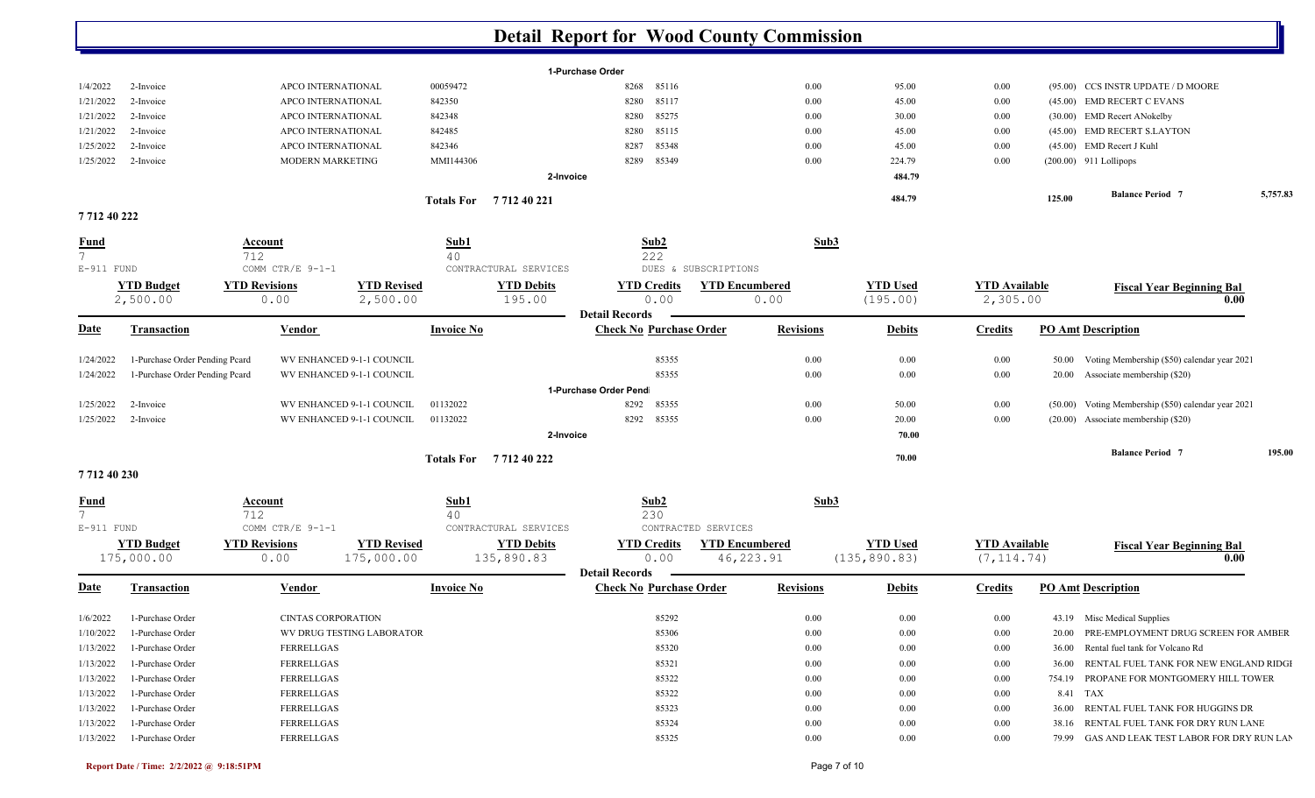|                                |                                |                           |                           |                   |                       | <b>Detail Report for Wood County Commission</b> |                       |                  |                 |                      |        |                                                     |          |
|--------------------------------|--------------------------------|---------------------------|---------------------------|-------------------|-----------------------|-------------------------------------------------|-----------------------|------------------|-----------------|----------------------|--------|-----------------------------------------------------|----------|
|                                |                                |                           |                           |                   |                       | 1-Purchase Order                                |                       |                  |                 |                      |        |                                                     |          |
| 1/4/2022                       | 2-Invoice                      | APCO INTERNATIONAL        |                           | 00059472          |                       | 8268<br>85116                                   |                       | 0.00             | 95.00           | 0.00                 |        | (95.00) CCS INSTR UPDATE / D MOORE                  |          |
| 1/21/2022                      | 2-Invoice                      | APCO INTERNATIONAL        |                           | 842350            |                       | 85117<br>8280                                   |                       | 0.00             | 45.00           | 0.00                 |        | (45.00) EMD RECERT C EVANS                          |          |
| 1/21/2022                      | 2-Invoice                      | APCO INTERNATIONAL        |                           | 842348            |                       | 85275<br>8280                                   |                       | 0.00             | 30.00           | 0.00                 |        | (30.00) EMD Recert ANokelby                         |          |
| 1/21/2022                      | 2-Invoice                      | APCO INTERNATIONAL        |                           | 842485            |                       | 85115<br>8280                                   |                       | 0.00             | 45.00           | 0.00                 |        | (45.00) EMD RECERT S.LAYTON                         |          |
| 1/25/2022                      | 2-Invoice                      | APCO INTERNATIONAL        |                           | 842346            |                       | 85348<br>8287                                   |                       | 0.00             | 45.00           | 0.00                 |        | (45.00) EMD Recert J Kuhl                           |          |
| 1/25/2022                      | 2-Invoice                      | MODERN MARKETING          |                           | MMI144306         |                       | 85349<br>8289                                   |                       | 0.00             | 224.79          | 0.00                 |        | $(200.00)$ 911 Lollipops                            |          |
|                                |                                |                           |                           |                   | 2-Invoice             |                                                 |                       |                  | 484.79          |                      |        |                                                     |          |
|                                |                                |                           |                           |                   | Totals For 771240221  |                                                 |                       |                  | 484.79          |                      | 125.00 | <b>Balance Period 7</b>                             | 5,757.83 |
| 771240222                      |                                |                           |                           |                   |                       |                                                 |                       |                  |                 |                      |        |                                                     |          |
| <b>Fund</b><br>7 <sup>1</sup>  |                                | Account<br>712            |                           | Sub1<br>40        |                       | Sub2<br>222                                     |                       | Sub3             |                 |                      |        |                                                     |          |
| $E-911$ FUND                   |                                | COMM CTR/E 9-1-1          |                           |                   | CONTRACTURAL SERVICES |                                                 | DUES & SUBSCRIPTIONS  |                  |                 |                      |        |                                                     |          |
|                                | <b>YTD Budget</b>              | <b>YTD Revisions</b>      | <b>YTD Revised</b>        |                   | <b>YTD Debits</b>     | <b>YTD Credits</b>                              | <b>YTD Encumbered</b> |                  | <b>YTD Used</b> | <b>YTD Available</b> |        | <b>Fiscal Year Beginning Bal</b>                    |          |
|                                | 2,500.00                       | 0.00                      | 2,500.00                  |                   | 195.00                | 0.00<br><b>Detail Records</b>                   | 0.00                  |                  | (195.00)        | 2,305.00             |        | 0.00                                                |          |
| <b>Date</b>                    | Transaction                    | Vendor                    |                           | <b>Invoice No</b> |                       | <b>Check No Purchase Order</b>                  |                       | <b>Revisions</b> | <b>Debits</b>   | <b>Credits</b>       |        | <b>PO Amt Description</b>                           |          |
| 1/24/2022                      | 1-Purchase Order Pending Peard |                           | WV ENHANCED 9-1-1 COUNCIL |                   |                       | 85355                                           |                       | 0.00             | 0.00            | 0.00                 | 50.00  | Voting Membership (\$50) calendar year 2021         |          |
| 1/24/2022                      | 1-Purchase Order Pending Pcard |                           | WV ENHANCED 9-1-1 COUNCIL |                   |                       | 85355                                           |                       | 0.00             | 0.00            | 0.00                 | 20.00  | Associate membership (\$20)                         |          |
|                                |                                |                           |                           |                   |                       | 1-Purchase Order Pend                           |                       |                  |                 |                      |        |                                                     |          |
| 1/25/2022                      | 2-Invoice                      |                           | WV ENHANCED 9-1-1 COUNCIL | 01132022          |                       | 8292<br>85355                                   |                       | 0.00             | 50.00           | 0.00                 |        | (50.00) Voting Membership (\$50) calendar year 2021 |          |
| 1/25/2022                      | 2-Invoice                      |                           | WV ENHANCED 9-1-1 COUNCIL | 01132022          |                       | 8292 85355                                      |                       | 0.00             | 20.00           | 0.00                 |        | (20.00) Associate membership (\$20)                 |          |
|                                |                                |                           |                           |                   | 2-Invoice             |                                                 |                       |                  | 70.00           |                      |        |                                                     |          |
|                                |                                |                           |                           |                   | Totals For 771240222  |                                                 |                       |                  | 70.00           |                      |        | <b>Balance Period 7</b>                             | 195.00   |
| 771240230                      |                                |                           |                           |                   |                       |                                                 |                       |                  |                 |                      |        |                                                     |          |
| <b>Fund</b>                    |                                | Account                   |                           | Sub1              |                       | Sub2                                            |                       | Sub3             |                 |                      |        |                                                     |          |
| 7 <sup>1</sup><br>$E-911$ FUND |                                | 712<br>COMM CTR/E 9-1-1   |                           | 40                | CONTRACTURAL SERVICES | 230                                             | CONTRACTED SERVICES   |                  |                 |                      |        |                                                     |          |
|                                | <b>YTD Budget</b>              | <b>YTD Revisions</b>      | <b>YTD Revised</b>        |                   | <b>YTD Debits</b>     | <b>YTD Credits</b>                              | <b>YTD Encumbered</b> |                  | <b>YTD Used</b> | <b>YTD</b> Available |        |                                                     |          |
|                                | 175,000.00                     | 0.00                      | 175,000.00                |                   | 135,890.83            | 0.00<br><b>Detail Records</b>                   | 46, 223.91            |                  | (135, 890.83)   | (7, 114.74)          |        | <b>Fiscal Year Beginning Bal</b><br>0.00            |          |
| <b>Date</b>                    | Transaction                    | Vendor                    |                           | <b>Invoice No</b> |                       | <b>Check No Purchase Order</b>                  |                       | <b>Revisions</b> | <b>Debits</b>   | <b>Credits</b>       |        | <b>PO Amt Description</b>                           |          |
| 1/6/2022                       | 1-Purchase Order               | <b>CINTAS CORPORATION</b> |                           |                   |                       | 85292                                           |                       | 0.00             | 0.00            | 0.00                 |        | 43.19 Misc Medical Supplies                         |          |
| 1/10/2022                      | 1-Purchase Order               |                           | WV DRUG TESTING LABORATOR |                   |                       | 85306                                           |                       | 0.00             | 0.00            | 0.00                 |        | 20.00 PRE-EMPLOYMENT DRUG SCREEN FOR AMBER          |          |
| 1/13/2022                      | 1-Purchase Order               | FERRELLGAS                |                           |                   |                       | 85320                                           |                       | 0.00             | 0.00            | 0.00                 |        | 36.00 Rental fuel tank for Volcano Rd               |          |
| 1/13/2022                      | 1-Purchase Order               | FERRELLGAS                |                           |                   |                       | 85321                                           |                       | 0.00             | 0.00            | 0.00                 |        | 36.00 RENTAL FUEL TANK FOR NEW ENGLAND RIDGI        |          |
| 1/13/2022                      | 1-Purchase Order               | FERRELLGAS                |                           |                   |                       | 85322                                           |                       | 0.00             | 0.00            | 0.00                 |        | 754.19 PROPANE FOR MONTGOMERY HILL TOWER            |          |
| 1/13/2022                      | 1-Purchase Order               | FERRELLGAS                |                           |                   |                       | 85322                                           |                       | 0.00             | 0.00            | 0.00                 |        | 8.41 TAX                                            |          |
| 1/13/2022                      | 1-Purchase Order               | FERRELLGAS                |                           |                   |                       | 85323                                           |                       | 0.00             | 0.00            | 0.00                 |        | 36.00 RENTAL FUEL TANK FOR HUGGINS DR               |          |
| 1/13/2022                      | 1-Purchase Order               | FERRELLGAS                |                           |                   |                       | 85324                                           |                       | 0.00             | 0.00            | 0.00                 |        | 38.16 RENTAL FUEL TANK FOR DRY RUN LANE             |          |
| 1/13/2022                      | 1-Purchase Order               | FERRELLGAS                |                           |                   |                       | 85325                                           |                       | 0.00             | 0.00            | 0.00                 |        | 79.99 GAS AND LEAK TEST LABOR FOR DRY RUN LAN       |          |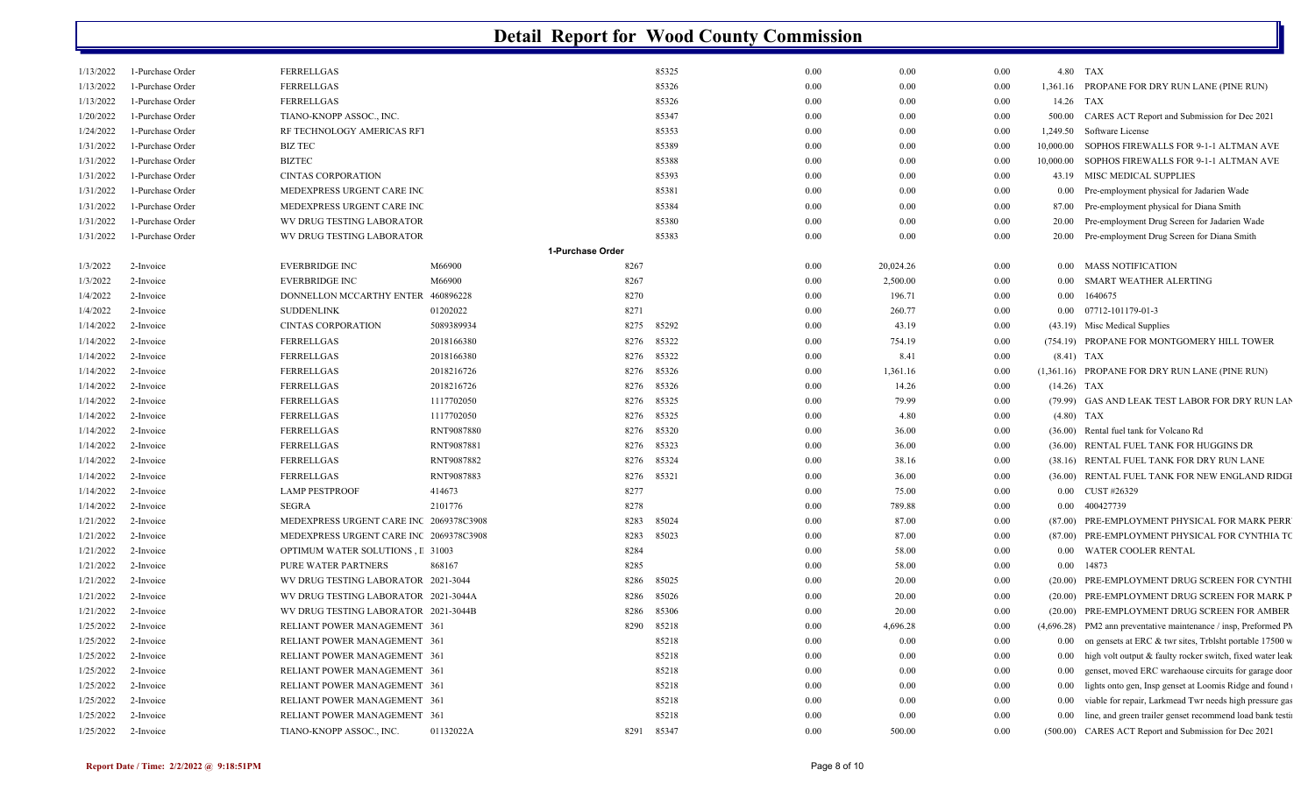| 1/13/2022             | 1-Purchase Order | FERRELLGAS                              |                  |      | 85325      | 0.00     | 0.00      | 0.00     | 4.80 TAX      |                                                                    |
|-----------------------|------------------|-----------------------------------------|------------------|------|------------|----------|-----------|----------|---------------|--------------------------------------------------------------------|
| 1/13/2022             | 1-Purchase Order | FERRELLGAS                              |                  |      | 85326      | 0.00     | 0.00      | 0.00     |               | 1,361.16 PROPANE FOR DRY RUN LANE (PINE RUN)                       |
| 1/13/2022             | 1-Purchase Order | FERRELLGAS                              |                  |      | 85326      | 0.00     | 0.00      | 0.00     | 14.26 TAX     |                                                                    |
| 1/20/2022             | 1-Purchase Order | TIANO-KNOPP ASSOC., INC.                |                  |      | 85347      | 0.00     | 0.00      | 0.00     | 500.00        | CARES ACT Report and Submission for Dec 2021                       |
| 1/24/2022             | 1-Purchase Order | RF TECHNOLOGY AMERICAS RF1              |                  |      | 85353      | 0.00     | 0.00      | 0.00     | 1,249.50      | Software License                                                   |
| 1/31/2022             | 1-Purchase Order | <b>BIZ TEC</b>                          |                  |      | 85389      | $0.00\,$ | 0.00      | 0.00     | 10,000.00     | SOPHOS FIREWALLS FOR 9-1-1 ALTMAN AVE                              |
| 1/31/2022             | 1-Purchase Order | <b>BIZTEC</b>                           |                  |      | 85388      | 0.00     | 0.00      | 0.00     | 10,000.00     | SOPHOS FIREWALLS FOR 9-1-1 ALTMAN AVE                              |
| 1/31/2022             | 1-Purchase Order | <b>CINTAS CORPORATION</b>               |                  |      | 85393      | 0.00     | 0.00      | 0.00     |               | 43.19 MISC MEDICAL SUPPLIES                                        |
| 1/31/2022             | 1-Purchase Order | MEDEXPRESS URGENT CARE INC              |                  |      | 85381      | $0.00\,$ | 0.00      | 0.00     |               | 0.00 Pre-employment physical for Jadarien Wade                     |
| 1/31/2022             | 1-Purchase Order | MEDEXPRESS URGENT CARE INC              |                  |      | 85384      | 0.00     | 0.00      | 0.00     | 87.00         | Pre-employment physical for Diana Smith                            |
| 1/31/2022             | 1-Purchase Order | WV DRUG TESTING LABORATOR               |                  |      | 85380      | 0.00     | 0.00      | 0.00     | 20.00         | Pre-employment Drug Screen for Jadarien Wade                       |
| 1/31/2022             | 1-Purchase Order | WV DRUG TESTING LABORATOR               |                  |      | 85383      | 0.00     | 0.00      | 0.00     |               | 20.00 Pre-employment Drug Screen for Diana Smith                   |
|                       |                  |                                         | 1-Purchase Order |      |            |          |           |          |               |                                                                    |
| 1/3/2022              | 2-Invoice        | <b>EVERBRIDGE INC</b>                   | M66900           | 8267 |            | 0.00     | 20,024.26 | 0.00     | 0.00          | <b>MASS NOTIFICATION</b>                                           |
| 1/3/2022              | 2-Invoice        | <b>EVERBRIDGE INC</b>                   | M66900           | 8267 |            | $0.00\,$ | 2,500.00  | 0.00     | $0.00\,$      | SMART WEATHER ALERTING                                             |
| 1/4/2022              | 2-Invoice        | DONNELLON MCCARTHY ENTER                | 460896228        | 8270 |            | 0.00     | 196.71    | 0.00     | $0.00\,$      | 1640675                                                            |
| 1/4/2022              | 2-Invoice        | <b>SUDDENLINK</b>                       | 01202022         | 8271 |            | 0.00     | 260.77    | 0.00     |               | 0.00 07712-101179-01-3                                             |
| 1/14/2022             | 2-Invoice        | <b>CINTAS CORPORATION</b>               | 5089389934       | 8275 | 85292      | 0.00     | 43.19     | 0.00     |               | (43.19) Misc Medical Supplies                                      |
| 1/14/2022             | 2-Invoice        | FERRELLGAS                              | 2018166380       | 8276 | 85322      | 0.00     | 754.19    | 0.00     |               | (754.19) PROPANE FOR MONTGOMERY HILL TOWER                         |
| 1/14/2022             | 2-Invoice        | FERRELLGAS                              | 2018166380       | 8276 | 85322      | 0.00     | 8.41      | 0.00     | $(8.41)$ TAX  |                                                                    |
| 1/14/2022             | 2-Invoice        | FERRELLGAS                              | 2018216726       | 8276 | 85326      | $0.00\,$ | 1,361.16  | 0.00     |               | (1,361.16) PROPANE FOR DRY RUN LANE (PINE RUN)                     |
| 1/14/2022             | 2-Invoice        | FERRELLGAS                              | 2018216726       | 8276 | 85326      | 0.00     | 14.26     | 0.00     | $(14.26)$ TAX |                                                                    |
| 1/14/2022             | 2-Invoice        | FERRELLGAS                              | 1117702050       | 8276 | 85325      | 0.00     | 79.99     | 0.00     |               | (79.99) GAS AND LEAK TEST LABOR FOR DRY RUN LAN                    |
| 1/14/2022             | 2-Invoice        | FERRELLGAS                              | 1117702050       | 8276 | 85325      | 0.00     | 4.80      | 0.00     | $(4.80)$ TAX  |                                                                    |
| 1/14/2022             | 2-Invoice        | FERRELLGAS                              | RNT9087880       | 8276 | 85320      | 0.00     | 36.00     | 0.00     |               | (36.00) Rental fuel tank for Volcano Rd                            |
| 1/14/2022             | 2-Invoice        | FERRELLGAS                              | RNT9087881       | 8276 | 85323      | 0.00     | 36.00     | 0.00     |               | (36.00) RENTAL FUEL TANK FOR HUGGINS DR                            |
| 1/14/2022             | 2-Invoice        | FERRELLGAS                              | RNT9087882       | 8276 | 85324      | $0.00\,$ | 38.16     | 0.00     |               | (38.16) RENTAL FUEL TANK FOR DRY RUN LANE                          |
| 1/14/2022             | 2-Invoice        | FERRELLGAS                              | RNT9087883       | 8276 | 85321      | 0.00     | 36.00     | 0.00     |               | (36.00) RENTAL FUEL TANK FOR NEW ENGLAND RIDGI                     |
| 1/14/2022             | 2-Invoice        | <b>LAMP PESTPROOF</b>                   | 414673           | 8277 |            | 0.00     | 75.00     | 0.00     |               | 0.00 CUST #26329                                                   |
| 1/14/2022             | 2-Invoice        | <b>SEGRA</b>                            | 2101776          | 8278 |            | $0.00\,$ | 789.88    | 0.00     | $0.00\,$      | 400427739                                                          |
| 1/21/2022             | 2-Invoice        | MEDEXPRESS URGENT CARE INC 2069378C3908 |                  | 8283 | 85024      | 0.00     | 87.00     | 0.00     |               | (87.00) PRE-EMPLOYMENT PHYSICAL FOR MARK PERR                      |
| 1/21/2022             | 2-Invoice        | MEDEXPRESS URGENT CARE INC 2069378C3908 |                  | 8283 | 85023      | 0.00     | 87.00     | 0.00     |               | (87.00) PRE-EMPLOYMENT PHYSICAL FOR CYNTHIA TO                     |
| 1/21/2022             | 2-Invoice        | <b>OPTIMUM WATER SOLUTIONS, I 31003</b> |                  | 8284 |            | $0.00\,$ | 58.00     | 0.00     |               | 0.00 WATER COOLER RENTAL                                           |
| 1/21/2022             | 2-Invoice        | PURE WATER PARTNERS                     | 868167           | 8285 |            | 0.00     | 58.00     | 0.00     | $0.00\,$      | 14873                                                              |
| 1/21/2022             | 2-Invoice        | WV DRUG TESTING LABORATOR 2021-3044     |                  | 8286 | 85025      | $0.00\,$ | 20.00     | 0.00     |               | (20.00) PRE-EMPLOYMENT DRUG SCREEN FOR CYNTHI                      |
| 1/21/2022             | 2-Invoice        | WV DRUG TESTING LABORATOR 2021-3044A    |                  | 8286 | 85026      | $0.00\,$ | 20.00     | 0.00     |               | (20.00) PRE-EMPLOYMENT DRUG SCREEN FOR MARK P                      |
| 1/21/2022             | 2-Invoice        | WV DRUG TESTING LABORATOR 2021-3044B    |                  | 8286 | 85306      | 0.00     | 20.00     | 0.00     |               | (20.00) PRE-EMPLOYMENT DRUG SCREEN FOR AMBER                       |
| 1/25/2022             | 2-Invoice        | RELIANT POWER MANAGEMENT 361            |                  | 8290 | 85218      | 0.00     | 4,696.28  | 0.00     |               | $(4,696.28)$ PM2 ann preventative maintenance / insp, Preformed PM |
| 1/25/2022 2-Invoice   |                  | RELIANT POWER MANAGEMENT 361            |                  |      | 85218      | 0.00     | 0.00      | $0.00\,$ |               | 0.00 on gensets at ERC & twr sites, Trblsht portable 17500 w       |
| 1/25/2022             | 2-Invoice        | RELIANT POWER MANAGEMENT 361            |                  |      | 85218      | 0.00     | 0.00      | 0.00     |               | 0.00 high volt output & faulty rocker switch, fixed water leak     |
| 1/25/2022             | 2-Invoice        | RELIANT POWER MANAGEMENT 361            |                  |      | 85218      | $0.00\,$ | 0.00      | 0.00     |               | 0.00 genset, moved ERC warehaouse circuits for garage door         |
| 1/25/2022             | 2-Invoice        | RELIANT POWER MANAGEMENT 361            |                  |      | 85218      | $0.00\,$ | 0.00      | 0.00     |               | 0.00 lights onto gen, Insp genset at Loomis Ridge and found        |
| 1/25/2022             | 2-Invoice        | RELIANT POWER MANAGEMENT 361            |                  |      | 85218      | $0.00\,$ | 0.00      | 0.00     |               | 0.00 viable for repair, Larkmead Twr needs high pressure gas       |
| 1/25/2022             | 2-Invoice        | RELIANT POWER MANAGEMENT 361            |                  |      | 85218      | 0.00     | 0.00      | 0.00     |               | 0.00 line, and green trailer genset recommend load bank testi      |
| $1/25/2022$ 2-Invoice |                  | TIANO-KNOPP ASSOC., INC.                | 01132022A        |      | 8291 85347 | $0.00\,$ | 500.00    | 0.00     |               | (500.00) CARES ACT Report and Submission for Dec 2021              |
|                       |                  |                                         |                  |      |            |          |           |          |               |                                                                    |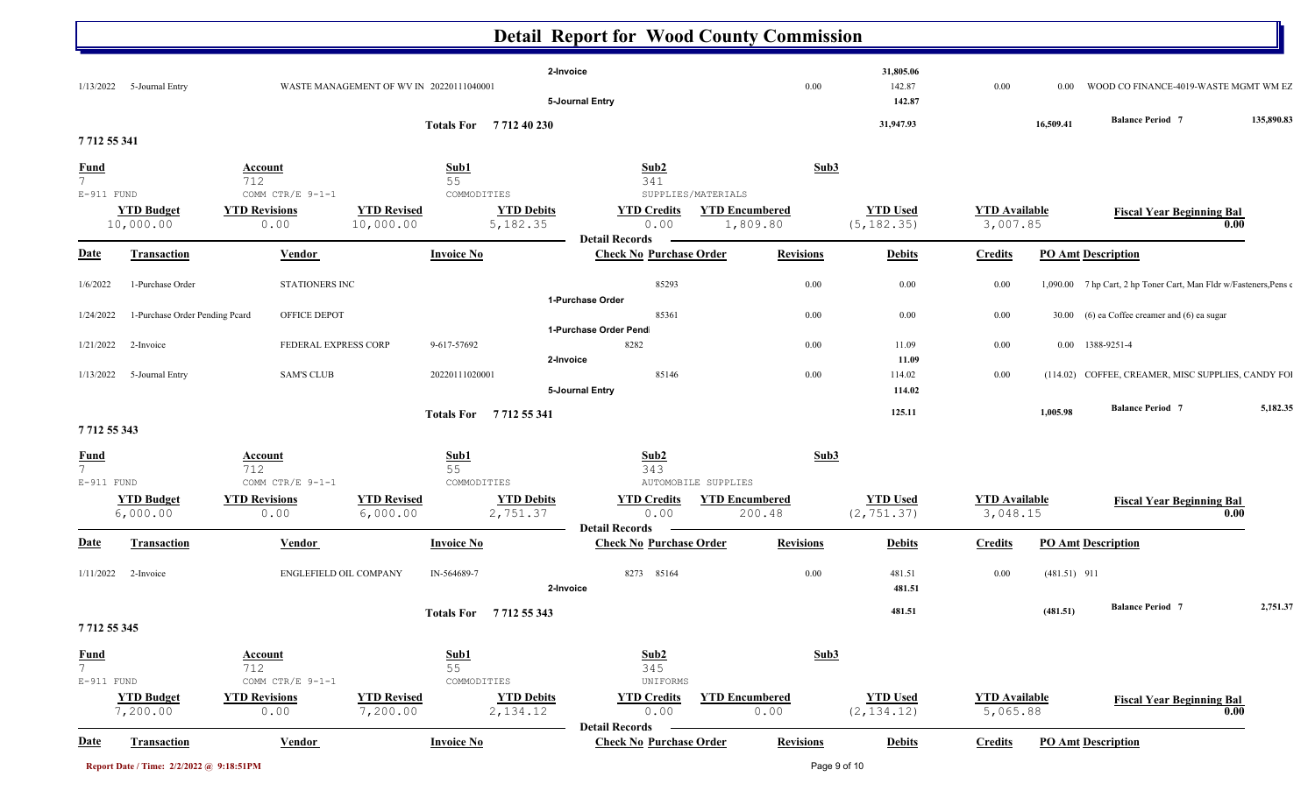|                               |                                |                              |                                          |                                | <b>Detail Report for Wood County Commission</b>         |                                   |                                |                                  |                           |                                                                   |                   |
|-------------------------------|--------------------------------|------------------------------|------------------------------------------|--------------------------------|---------------------------------------------------------|-----------------------------------|--------------------------------|----------------------------------|---------------------------|-------------------------------------------------------------------|-------------------|
|                               | 1/13/2022 5-Journal Entry      |                              | WASTE MANAGEMENT OF WV IN 20220111040001 |                                | 2-Invoice<br>5-Journal Entry                            | 0.00                              | 31,805.06<br>142.87<br>142.87  | 0.00                             | $0.00\,$                  | WOOD CO FINANCE-4019-WASTE MGMT WM EZ                             |                   |
|                               |                                |                              |                                          | Totals For 771240230           |                                                         |                                   | 31,947.93                      |                                  | 16,509.41                 | <b>Balance Period 7</b>                                           | 135,890.83        |
| 7712 55 341                   |                                |                              |                                          |                                |                                                         |                                   |                                |                                  |                           |                                                                   |                   |
| <b>Fund</b>                   |                                | Account                      |                                          | <u>Sub1</u>                    | Sub2                                                    |                                   | Sub3                           |                                  |                           |                                                                   |                   |
| $7\overline{ }$<br>E-911 FUND |                                | 712<br>COMM CTR/E 9-1-1      |                                          | 55<br>COMMODITIES              | 341                                                     | SUPPLIES/MATERIALS                |                                |                                  |                           |                                                                   |                   |
|                               | <b>YTD Budget</b><br>10,000.00 | <b>YTD Revisions</b><br>0.00 | <b>YTD Revised</b><br>10,000.00          | <b>YTD Debits</b><br>5,182.35  | <b>YTD Credits</b><br>0.00<br><b>Detail Records</b>     | <b>YTD Encumbered</b><br>1,809.80 | <b>YTD Used</b><br>(5, 182.35) | <b>YTD Available</b><br>3,007.85 |                           | <b>Fiscal Year Beginning Bal</b>                                  | 0.00              |
| <u>Date</u>                   | Transaction                    | <b>Vendor</b>                |                                          | <b>Invoice No</b>              | <b>Check No Purchase Order</b>                          | <b>Revisions</b>                  | <b>Debits</b>                  | <b>Credits</b>                   | <b>PO Amt Description</b> |                                                                   |                   |
| 1/6/2022                      | 1-Purchase Order               | STATIONERS INC               |                                          |                                | 85293                                                   | 0.00                              | 0.00                           | 0.00                             |                           | 1,090.00 7 hp Cart, 2 hp Toner Cart, Man Fldr w/Fasteners, Pens 6 |                   |
| 1/24/2022                     | 1-Purchase Order Pending Pcard | OFFICE DEPOT                 |                                          |                                | 1-Purchase Order<br>85361                               | 0.00                              | 0.00                           | 0.00                             |                           | 30.00 (6) ea Coffee creamer and (6) ea sugar                      |                   |
|                               |                                |                              |                                          |                                | 1-Purchase Order Pend                                   |                                   |                                |                                  |                           |                                                                   |                   |
| 1/21/2022                     | 2-Invoice                      |                              | FEDERAL EXPRESS CORP                     | 9-617-57692                    | 8282                                                    | 0.00                              | 11.09                          | 0.00                             |                           | 0.00 1388-9251-4                                                  |                   |
|                               |                                |                              |                                          |                                | 2-Invoice                                               |                                   | 11.09                          |                                  |                           |                                                                   |                   |
| 1/13/2022                     | 5-Journal Entry                | <b>SAM'S CLUB</b>            |                                          | 20220111020001                 | 85146                                                   | 0.00                              | 114.02                         | 0.00                             |                           | (114.02) COFFEE, CREAMER, MISC SUPPLIES, CANDY FOI                |                   |
|                               |                                |                              |                                          | Totals For 7712 55 341         | 5-Journal Entry                                         |                                   | 114.02<br>125.11               |                                  | 1,005.98                  | <b>Balance Period 7</b>                                           |                   |
| 7712 55 343                   |                                |                              |                                          |                                |                                                         |                                   |                                |                                  |                           |                                                                   |                   |
| <u>Fund</u><br>$7^{\circ}$    |                                | Account<br>712               |                                          | Sub1<br>55                     | Sub2<br>343                                             |                                   | Sub3                           |                                  |                           |                                                                   |                   |
| $E-911$ FUND                  |                                | COMM CTR/E 9-1-1             |                                          | COMMODITIES                    |                                                         | AUTOMOBILE SUPPLIES               |                                |                                  |                           |                                                                   |                   |
|                               | <b>YTD Budget</b><br>6,000.00  | <b>YTD Revisions</b><br>0.00 | <b>YTD Revised</b><br>6,000.00           | <b>YTD Debits</b><br>2,751.37  | <b>YTD Credits</b><br>0.00                              | <b>YTD Encumbered</b><br>200.48   | <b>YTD Used</b><br>(2, 751.37) | <b>YTD</b> Available<br>3,048.15 |                           | <b>Fiscal Year Beginning Bal</b>                                  | 0.00              |
| <u>Date</u>                   | <b>Transaction</b>             | <b>Vendor</b>                |                                          | <b>Invoice No</b>              | <b>Detail Records</b><br><b>Check No Purchase Order</b> | <b>Revisions</b>                  | <b>Debits</b>                  | <b>Credits</b>                   | <b>PO Amt Description</b> |                                                                   |                   |
| 1/11/2022                     | 2-Invoice                      |                              | ENGLEFIELD OIL COMPANY                   | IN-564689-7                    | 8273 85164<br>2-Invoice                                 | 0.00                              | 481.51<br>481.51               | 0.00                             | $(481.51)$ 911            |                                                                   |                   |
|                               |                                |                              |                                          |                                |                                                         |                                   |                                |                                  |                           | <b>Balance Period 7</b>                                           |                   |
| 7 7 12 55 345                 |                                |                              |                                          | Totals For 7712 55 343         |                                                         |                                   | 481.51                         |                                  | (481.51)                  |                                                                   |                   |
|                               |                                | <b>Account</b>               |                                          | Sub1                           | Sub2                                                    |                                   | Sub3                           |                                  |                           |                                                                   |                   |
| $rac{\text{Fund}}{7}$         |                                | 712                          |                                          | 55                             | 345                                                     |                                   |                                |                                  |                           |                                                                   |                   |
| $E-911$ FUND                  |                                | COMM CTR/E 9-1-1             |                                          | COMMODITIES                    | UNIFORMS                                                |                                   |                                |                                  |                           |                                                                   |                   |
|                               | <b>YTD Budget</b><br>7,200.00  | <b>YTD Revisions</b><br>0.00 | <b>YTD Revised</b><br>7,200.00           | <b>YTD Debits</b><br>2, 134.12 | <b>YTD Credits</b><br>0.00                              | <b>YTD Encumbered</b><br>0.00     | <b>YTD Used</b><br>(2, 134.12) | <b>YTD</b> Available<br>5,065.88 |                           | <b>Fiscal Year Beginning Bal</b>                                  | $\overline{0.00}$ |
|                               |                                |                              |                                          |                                | <b>Detail Records</b>                                   |                                   |                                |                                  |                           |                                                                   |                   |
| <u>Date</u>                   | <b>Transaction</b>             | <b>Vendor</b>                |                                          | <b>Invoice No</b>              | <b>Check No Purchase Order</b>                          | <b>Revisions</b>                  | <b>Debits</b>                  | <b>Credits</b>                   | <b>PO Amt Description</b> |                                                                   |                   |